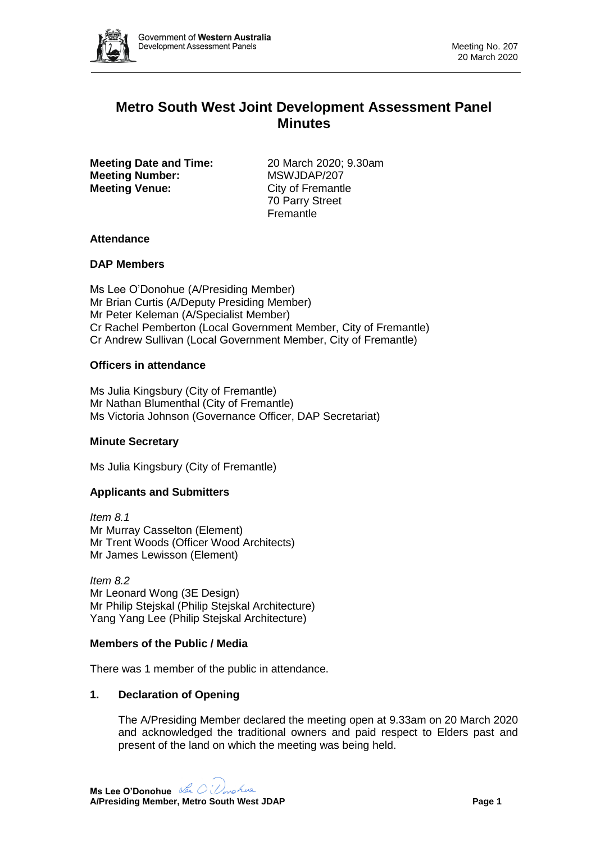

# **Metro South West Joint Development Assessment Panel Minutes**

**Meeting Date and Time:** 20 March 2020; 9.30am **Meeting Number:** MSWJDAP/207 **Meeting Venue:** City of Fremantle

70 Parry Street **Fremantle** 

### **Attendance**

### **DAP Members**

Ms Lee O'Donohue (A/Presiding Member) Mr Brian Curtis (A/Deputy Presiding Member) Mr Peter Keleman (A/Specialist Member) Cr Rachel Pemberton (Local Government Member, City of Fremantle) Cr Andrew Sullivan (Local Government Member, City of Fremantle)

# **Officers in attendance**

Ms Julia Kingsbury (City of Fremantle) Mr Nathan Blumenthal (City of Fremantle) Ms Victoria Johnson (Governance Officer, DAP Secretariat)

### **Minute Secretary**

Ms Julia Kingsbury (City of Fremantle)

# **Applicants and Submitters**

*Item 8.1* Mr Murray Casselton (Element) Mr Trent Woods (Officer Wood Architects) Mr James Lewisson (Element)

*Item 8.2* Mr Leonard Wong (3E Design) Mr Philip Stejskal (Philip Stejskal Architecture) Yang Yang Lee (Philip Stejskal Architecture)

### **Members of the Public / Media**

There was 1 member of the public in attendance.

### **1. Declaration of Opening**

The A/Presiding Member declared the meeting open at 9.33am on 20 March 2020 and acknowledged the traditional owners and paid respect to Elders past and present of the land on which the meeting was being held.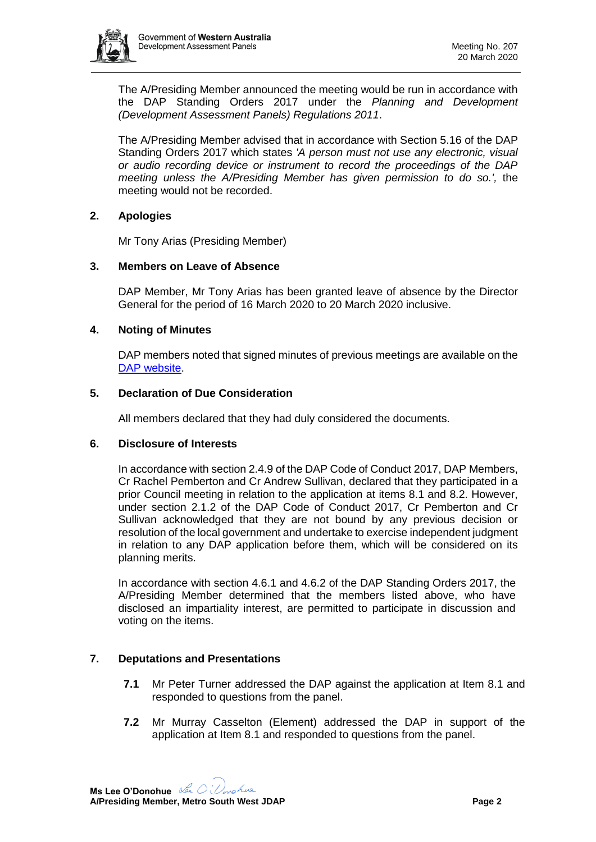

The A/Presiding Member announced the meeting would be run in accordance with the DAP Standing Orders 2017 under the *Planning and Development (Development Assessment Panels) Regulations 2011*.

The A/Presiding Member advised that in accordance with Section 5.16 of the DAP Standing Orders 2017 which states *'A person must not use any electronic, visual or audio recording device or instrument to record the proceedings of the DAP meeting unless the A/Presiding Member has given permission to do so.',* the meeting would not be recorded.

### **2. Apologies**

Mr Tony Arias (Presiding Member)

#### **3. Members on Leave of Absence**

DAP Member, Mr Tony Arias has been granted leave of absence by the Director General for the period of 16 March 2020 to 20 March 2020 inclusive.

#### **4. Noting of Minutes**

DAP members noted that signed minutes of previous meetings are available on the [DAP website.](https://www.dplh.wa.gov.au/about/development-assessment-panels/daps-agendas-and-minutes)

#### **5. Declaration of Due Consideration**

All members declared that they had duly considered the documents.

#### **6. Disclosure of Interests**

In accordance with section 2.4.9 of the DAP Code of Conduct 2017, DAP Members, Cr Rachel Pemberton and Cr Andrew Sullivan, declared that they participated in a prior Council meeting in relation to the application at items 8.1 and 8.2. However, under section 2.1.2 of the DAP Code of Conduct 2017, Cr Pemberton and Cr Sullivan acknowledged that they are not bound by any previous decision or resolution of the local government and undertake to exercise independent judgment in relation to any DAP application before them, which will be considered on its planning merits.

In accordance with section 4.6.1 and 4.6.2 of the DAP Standing Orders 2017, the A/Presiding Member determined that the members listed above, who have disclosed an impartiality interest, are permitted to participate in discussion and voting on the items.

### **7. Deputations and Presentations**

- **7.1** Mr Peter Turner addressed the DAP against the application at Item 8.1 and responded to questions from the panel.
- **7.2** Mr Murray Casselton (Element) addressed the DAP in support of the application at Item 8.1 and responded to questions from the panel.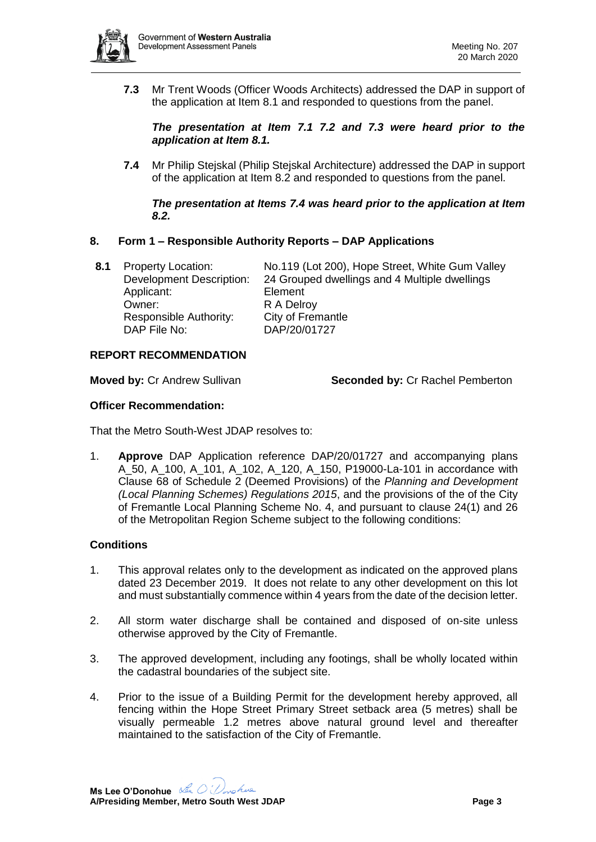

**7.3** Mr Trent Woods (Officer Woods Architects) addressed the DAP in support of the application at Item 8.1 and responded to questions from the panel.

*The presentation at Item 7.1 7.2 and 7.3 were heard prior to the application at Item 8.1.* 

**7.4** Mr Philip Stejskal (Philip Stejskal Architecture) addressed the DAP in support of the application at Item 8.2 and responded to questions from the panel.

#### *The presentation at Items 7.4 was heard prior to the application at Item 8.2.*

### **8. Form 1 – Responsible Authority Reports – DAP Applications**

Applicant: Element Owner: R A Delroy Responsible Authority: City of Fremantle DAP File No: DAP/20/01727

**8.1** Property Location: No.119 (Lot 200), Hope Street, White Gum Valley Development Description: 24 Grouped dwellings and 4 Multiple dwellings

### **REPORT RECOMMENDATION**

**Moved by:** Cr Andrew Sullivan **Seconded by:** Cr Rachel Pemberton

### **Officer Recommendation:**

That the Metro South-West JDAP resolves to:

1. **Approve** DAP Application reference DAP/20/01727 and accompanying plans A\_50, A\_100, A\_101, A\_102, A\_120, A\_150, P19000-La-101 in accordance with Clause 68 of Schedule 2 (Deemed Provisions) of the *Planning and Development (Local Planning Schemes) Regulations 2015*, and the provisions of the of the City of Fremantle Local Planning Scheme No. 4, and pursuant to clause 24(1) and 26 of the Metropolitan Region Scheme subject to the following conditions:

### **Conditions**

- 1. This approval relates only to the development as indicated on the approved plans dated 23 December 2019. It does not relate to any other development on this lot and must substantially commence within 4 years from the date of the decision letter.
- 2. All storm water discharge shall be contained and disposed of on-site unless otherwise approved by the City of Fremantle.
- 3. The approved development, including any footings, shall be wholly located within the cadastral boundaries of the subject site.
- 4. Prior to the issue of a Building Permit for the development hereby approved, all fencing within the Hope Street Primary Street setback area (5 metres) shall be visually permeable 1.2 metres above natural ground level and thereafter maintained to the satisfaction of the City of Fremantle.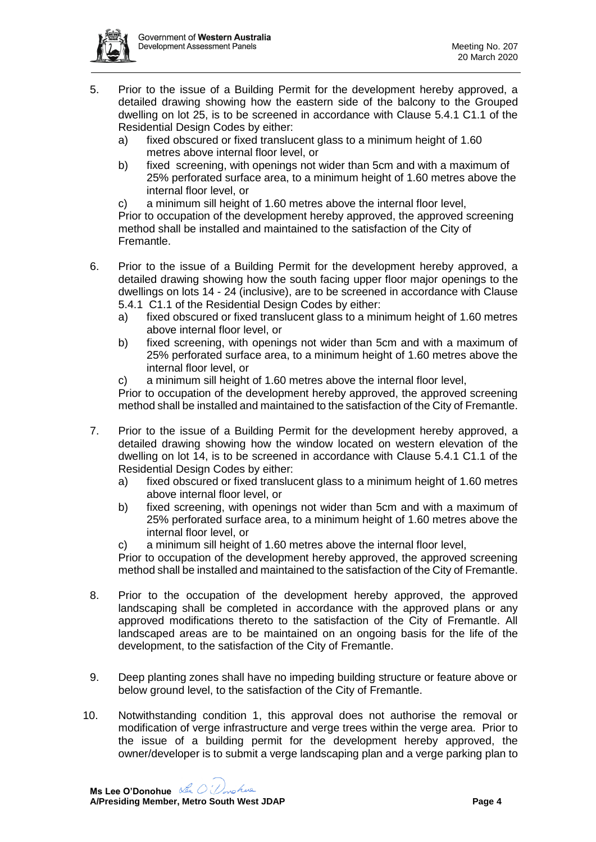

- 5. Prior to the issue of a Building Permit for the development hereby approved, a detailed drawing showing how the eastern side of the balcony to the Grouped dwelling on lot 25, is to be screened in accordance with Clause 5.4.1 C1.1 of the Residential Design Codes by either:
	- a) fixed obscured or fixed translucent glass to a minimum height of 1.60 metres above internal floor level, or
	- b) fixed screening, with openings not wider than 5cm and with a maximum of 25% perforated surface area, to a minimum height of 1.60 metres above the internal floor level, or
	- c) a minimum sill height of 1.60 metres above the internal floor level,

Prior to occupation of the development hereby approved, the approved screening method shall be installed and maintained to the satisfaction of the City of Fremantle.

- 6. Prior to the issue of a Building Permit for the development hereby approved, a detailed drawing showing how the south facing upper floor major openings to the dwellings on lots 14 - 24 (inclusive), are to be screened in accordance with Clause
	- 5.4.1 C1.1 of the Residential Design Codes by either:
	- a) fixed obscured or fixed translucent glass to a minimum height of 1.60 metres above internal floor level, or
	- b) fixed screening, with openings not wider than 5cm and with a maximum of 25% perforated surface area, to a minimum height of 1.60 metres above the internal floor level, or
	- c) a minimum sill height of 1.60 metres above the internal floor level,

Prior to occupation of the development hereby approved, the approved screening method shall be installed and maintained to the satisfaction of the City of Fremantle.

- 7. Prior to the issue of a Building Permit for the development hereby approved, a detailed drawing showing how the window located on western elevation of the dwelling on lot 14, is to be screened in accordance with Clause 5.4.1 C1.1 of the Residential Design Codes by either:
	- a) fixed obscured or fixed translucent glass to a minimum height of 1.60 metres above internal floor level, or
	- b) fixed screening, with openings not wider than 5cm and with a maximum of 25% perforated surface area, to a minimum height of 1.60 metres above the internal floor level, or
	- c) a minimum sill height of 1.60 metres above the internal floor level,

Prior to occupation of the development hereby approved, the approved screening method shall be installed and maintained to the satisfaction of the City of Fremantle.

- 8. Prior to the occupation of the development hereby approved, the approved landscaping shall be completed in accordance with the approved plans or any approved modifications thereto to the satisfaction of the City of Fremantle. All landscaped areas are to be maintained on an ongoing basis for the life of the development, to the satisfaction of the City of Fremantle.
- 9. Deep planting zones shall have no impeding building structure or feature above or below ground level, to the satisfaction of the City of Fremantle.
- 10. Notwithstanding condition 1, this approval does not authorise the removal or modification of verge infrastructure and verge trees within the verge area. Prior to the issue of a building permit for the development hereby approved, the owner/developer is to submit a verge landscaping plan and a verge parking plan to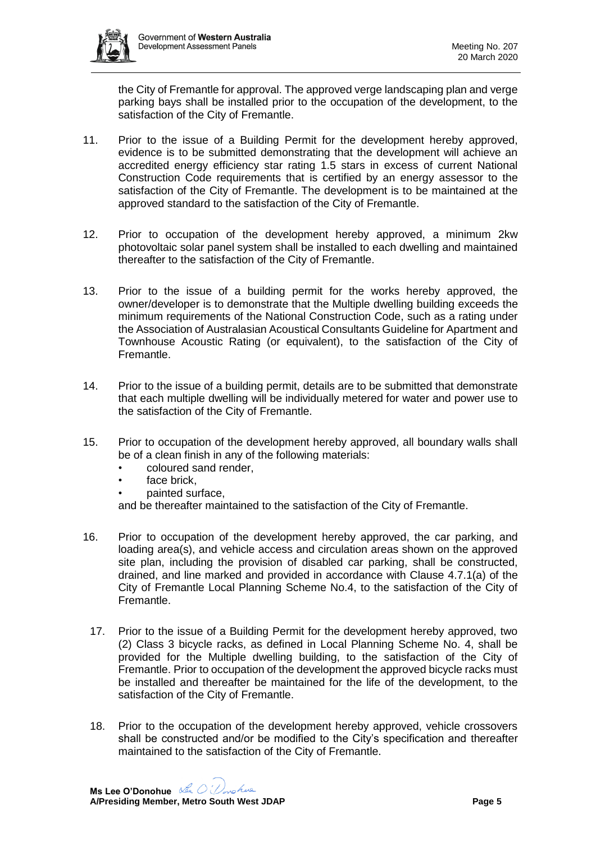

the City of Fremantle for approval. The approved verge landscaping plan and verge parking bays shall be installed prior to the occupation of the development, to the satisfaction of the City of Fremantle.

- 11. Prior to the issue of a Building Permit for the development hereby approved, evidence is to be submitted demonstrating that the development will achieve an accredited energy efficiency star rating 1.5 stars in excess of current National Construction Code requirements that is certified by an energy assessor to the satisfaction of the City of Fremantle. The development is to be maintained at the approved standard to the satisfaction of the City of Fremantle.
- 12. Prior to occupation of the development hereby approved, a minimum 2kw photovoltaic solar panel system shall be installed to each dwelling and maintained thereafter to the satisfaction of the City of Fremantle.
- 13. Prior to the issue of a building permit for the works hereby approved, the owner/developer is to demonstrate that the Multiple dwelling building exceeds the minimum requirements of the National Construction Code, such as a rating under the Association of Australasian Acoustical Consultants Guideline for Apartment and Townhouse Acoustic Rating (or equivalent), to the satisfaction of the City of Fremantle.
- 14. Prior to the issue of a building permit, details are to be submitted that demonstrate that each multiple dwelling will be individually metered for water and power use to the satisfaction of the City of Fremantle.
- 15. Prior to occupation of the development hereby approved, all boundary walls shall be of a clean finish in any of the following materials:
	- coloured sand render,
	- face brick.
	- painted surface,

and be thereafter maintained to the satisfaction of the City of Fremantle.

- 16. Prior to occupation of the development hereby approved, the car parking, and loading area(s), and vehicle access and circulation areas shown on the approved site plan, including the provision of disabled car parking, shall be constructed, drained, and line marked and provided in accordance with Clause 4.7.1(a) of the City of Fremantle Local Planning Scheme No.4, to the satisfaction of the City of Fremantle.
- 17. Prior to the issue of a Building Permit for the development hereby approved, two (2) Class 3 bicycle racks, as defined in Local Planning Scheme No. 4, shall be provided for the Multiple dwelling building, to the satisfaction of the City of Fremantle. Prior to occupation of the development the approved bicycle racks must be installed and thereafter be maintained for the life of the development, to the satisfaction of the City of Fremantle.
- 18. Prior to the occupation of the development hereby approved, vehicle crossovers shall be constructed and/or be modified to the City's specification and thereafter maintained to the satisfaction of the City of Fremantle.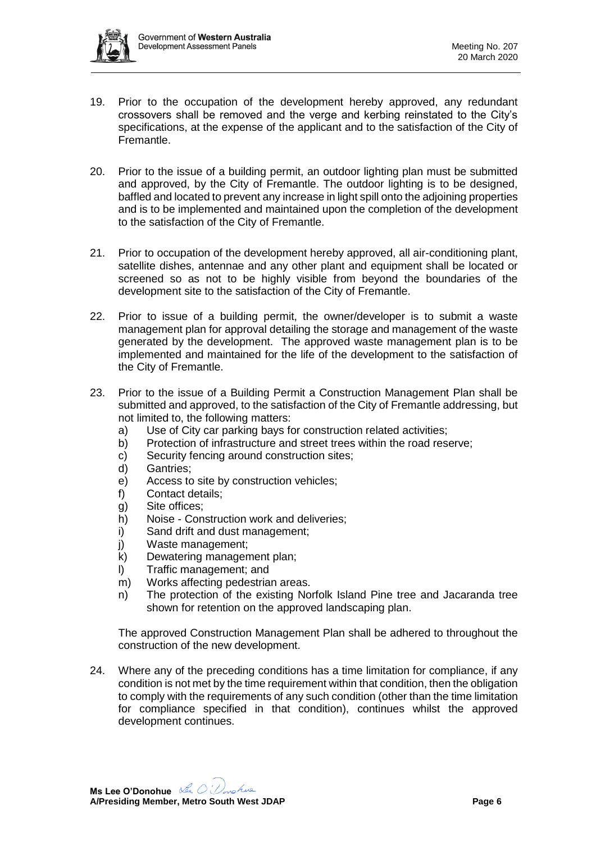

- 19. Prior to the occupation of the development hereby approved, any redundant crossovers shall be removed and the verge and kerbing reinstated to the City's specifications, at the expense of the applicant and to the satisfaction of the City of Fremantle.
- 20. Prior to the issue of a building permit, an outdoor lighting plan must be submitted and approved, by the City of Fremantle. The outdoor lighting is to be designed, baffled and located to prevent any increase in light spill onto the adjoining properties and is to be implemented and maintained upon the completion of the development to the satisfaction of the City of Fremantle.
- 21. Prior to occupation of the development hereby approved, all air-conditioning plant, satellite dishes, antennae and any other plant and equipment shall be located or screened so as not to be highly visible from beyond the boundaries of the development site to the satisfaction of the City of Fremantle.
- 22. Prior to issue of a building permit, the owner/developer is to submit a waste management plan for approval detailing the storage and management of the waste generated by the development. The approved waste management plan is to be implemented and maintained for the life of the development to the satisfaction of the City of Fremantle.
- 23. Prior to the issue of a Building Permit a Construction Management Plan shall be submitted and approved, to the satisfaction of the City of Fremantle addressing, but not limited to, the following matters:
	- a) Use of City car parking bays for construction related activities;
	- b) Protection of infrastructure and street trees within the road reserve;
	- c) Security fencing around construction sites;
	- d) Gantries;
	- e) Access to site by construction vehicles;
	- f) Contact details;
	- g) Site offices;
	- h) Noise Construction work and deliveries;
	- i) Sand drift and dust management;
	- j) Waste management;
	- k) Dewatering management plan;
	- l) Traffic management; and
	- m) Works affecting pedestrian areas.
	- n) The protection of the existing Norfolk Island Pine tree and Jacaranda tree shown for retention on the approved landscaping plan.

The approved Construction Management Plan shall be adhered to throughout the construction of the new development.

24. Where any of the preceding conditions has a time limitation for compliance, if any condition is not met by the time requirement within that condition, then the obligation to comply with the requirements of any such condition (other than the time limitation for compliance specified in that condition), continues whilst the approved development continues.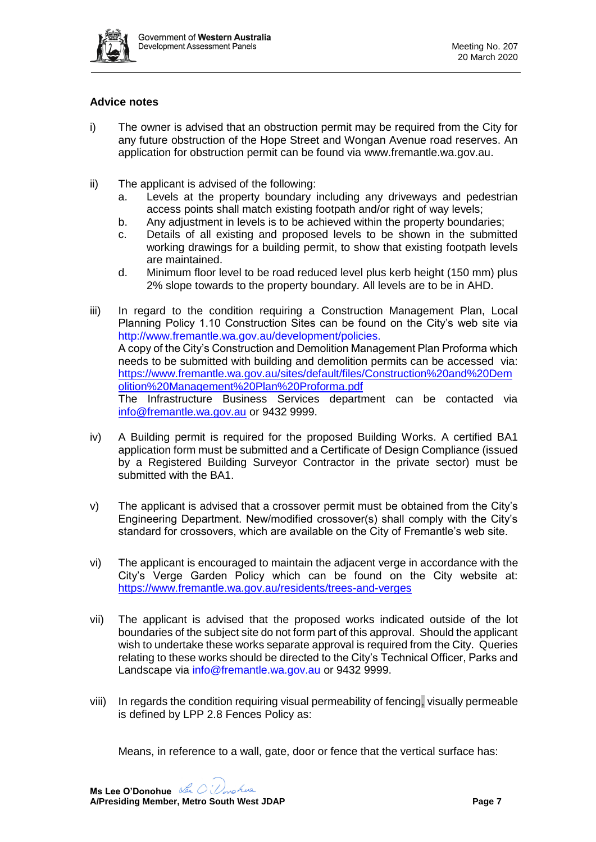

#### **Advice notes**

- i) The owner is advised that an obstruction permit may be required from the City for any future obstruction of the Hope Street and Wongan Avenue road reserves. An application for obstruction permit can be found via [www.fremantle.wa.gov.au.](http://www.fremantle.wa.gov.au/)
- ii) The applicant is advised of the following:
	- a. Levels at the property boundary including any driveways and pedestrian access points shall match existing footpath and/or right of way levels;
	- b. Any adjustment in levels is to be achieved within the property boundaries;
	- c. Details of all existing and proposed levels to be shown in the submitted working drawings for a building permit, to show that existing footpath levels are maintained.
	- d. Minimum floor level to be road reduced level plus kerb height (150 mm) plus 2% slope towards to the property boundary. All levels are to be in AHD.
- iii) In regard to the condition requiring a Construction Management Plan, Local Planning Policy 1.10 Construction Sites can be found on the City's web site via http://www.fremantle.wa.gov.au/development/policies. A copy of the City's Construction and Demolition Management Plan Proforma which needs to be submitted with building and demolition permits can be accessed via: [https://www.fremantle.wa.gov.au/sites/default/files/Construction%20and%20Dem](https://www.fremantle.wa.gov.au/sites/default/files/Construction%20and%20Demolition%20Management%20Plan%20Proforma.pdf) [olition%20Management%20Plan%20Proforma.pdf](https://www.fremantle.wa.gov.au/sites/default/files/Construction%20and%20Demolition%20Management%20Plan%20Proforma.pdf) The Infrastructure Business Services department can be contacted via [info@fremantle.wa.gov.au](mailto:ibs@fremantle.wa.gov.au) or 9432 9999.
- iv) A Building permit is required for the proposed Building Works. A certified BA1 application form must be submitted and a Certificate of Design Compliance (issued by a Registered Building Surveyor Contractor in the private sector) must be submitted with the BA1.
- v) The applicant is advised that a crossover permit must be obtained from the City's Engineering Department. New/modified crossover(s) shall comply with the City's standard for crossovers, which are available on the City of Fremantle's web site.
- vi) The applicant is encouraged to maintain the adjacent verge in accordance with the City's Verge Garden Policy which can be found on the City website at: <https://www.fremantle.wa.gov.au/residents/trees-and-verges>
- vii) The applicant is advised that the proposed works indicated outside of the lot boundaries of the subject site do not form part of this approval. Should the applicant wish to undertake these works separate approval is required from the City. Queries relating to these works should be directed to the City's Technical Officer, Parks and Landscape via [info@fremantle.wa.gov.au](mailto:info@fremantle.wa.gov.au) or 9432 9999.
- viii) In regards the condition requiring visual permeability of fencing, visually permeable is defined by LPP 2.8 Fences Policy as:

Means, in reference to a wall, gate, door or fence that the vertical surface has: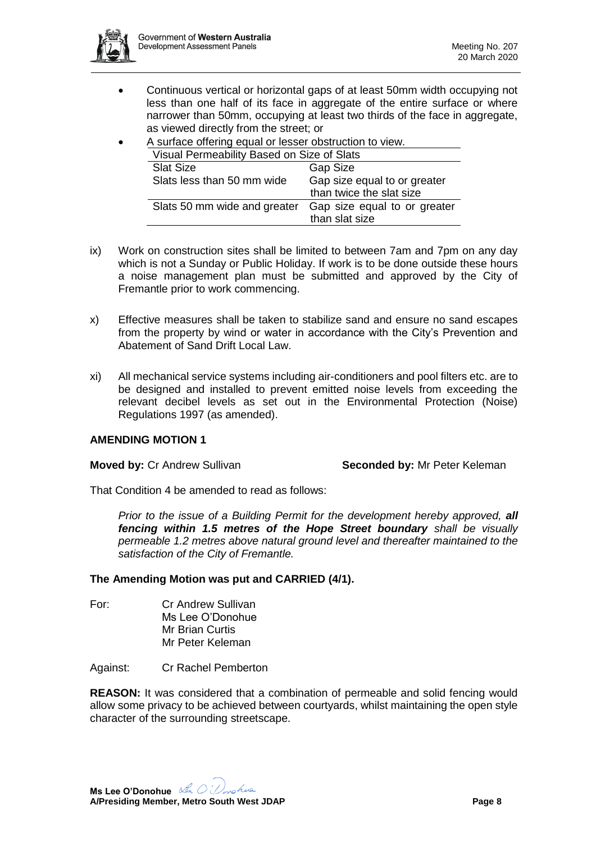

- Continuous vertical or horizontal gaps of at least 50mm width occupying not less than one half of its face in aggregate of the entire surface or where narrower than 50mm, occupying at least two thirds of the face in aggregate, as viewed directly from the street; or
- A surface offering equal or lesser obstruction to view.

| Visual Permeability Based on Size of Slats |                                                          |
|--------------------------------------------|----------------------------------------------------------|
| <b>Slat Size</b>                           | <b>Gap Size</b>                                          |
| Slats less than 50 mm wide                 | Gap size equal to or greater<br>than twice the slat size |
| Slats 50 mm wide and greater               | Gap size equal to or greater<br>than slat size           |

- ix) Work on construction sites shall be limited to between 7am and 7pm on any day which is not a Sunday or Public Holiday. If work is to be done outside these hours a noise management plan must be submitted and approved by the City of Fremantle prior to work commencing.
- x) Effective measures shall be taken to stabilize sand and ensure no sand escapes from the property by wind or water in accordance with the City's Prevention and Abatement of Sand Drift Local Law.
- xi) All mechanical service systems including air-conditioners and pool filters etc. are to be designed and installed to prevent emitted noise levels from exceeding the relevant decibel levels as set out in the Environmental Protection (Noise) Regulations 1997 (as amended).

#### **AMENDING MOTION 1**

**Moved by: Cr Andrew Sullivan <b>Seconded by:** Mr Peter Keleman

That Condition 4 be amended to read as follows:

*Prior to the issue of a Building Permit for the development hereby approved, all fencing within 1.5 metres of the Hope Street boundary shall be visually permeable 1.2 metres above natural ground level and thereafter maintained to the satisfaction of the City of Fremantle.*

#### **The Amending Motion was put and CARRIED (4/1).**

For: Cr Andrew Sullivan Ms Lee O'Donohue Mr Brian Curtis Mr Peter Keleman

Against: Cr Rachel Pemberton

**REASON:** It was considered that a combination of permeable and solid fencing would allow some privacy to be achieved between courtyards, whilst maintaining the open style character of the surrounding streetscape.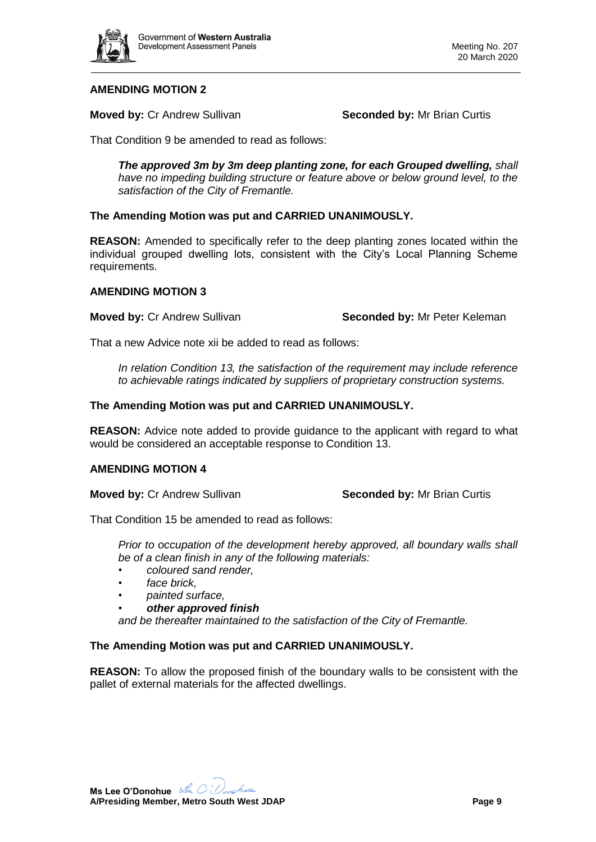

### **AMENDING MOTION 2**

**Moved by: Cr Andrew Sullivan <b>Seconded by:** Mr Brian Curtis

That Condition 9 be amended to read as follows:

*The approved 3m by 3m deep planting zone, for each Grouped dwelling, shall have no impeding building structure or feature above or below ground level, to the satisfaction of the City of Fremantle.*

#### **The Amending Motion was put and CARRIED UNANIMOUSLY.**

**REASON:** Amended to specifically refer to the deep planting zones located within the individual grouped dwelling lots, consistent with the City's Local Planning Scheme requirements.

#### **AMENDING MOTION 3**

**Moved by: Cr Andrew Sullivan <b>Seconded by:** Mr Peter Keleman

That a new Advice note xii be added to read as follows:

*In relation Condition 13, the satisfaction of the requirement may include reference to achievable ratings indicated by suppliers of proprietary construction systems.*

#### **The Amending Motion was put and CARRIED UNANIMOUSLY.**

**REASON:** Advice note added to provide guidance to the applicant with regard to what would be considered an acceptable response to Condition 13.

#### **AMENDING MOTION 4**

**Moved by:** Cr Andrew Sullivan **Seconded by:** Mr Brian Curtis

That Condition 15 be amended to read as follows:

*Prior to occupation of the development hereby approved, all boundary walls shall be of a clean finish in any of the following materials:*

- *coloured sand render,*
- *face brick,*
- *painted surface,*
- *other approved finish*

*and be thereafter maintained to the satisfaction of the City of Fremantle.*

### **The Amending Motion was put and CARRIED UNANIMOUSLY.**

**REASON:** To allow the proposed finish of the boundary walls to be consistent with the pallet of external materials for the affected dwellings.

**Ms Lee O'Donohue A/Presiding Member, Metro South West JDAP Page 9**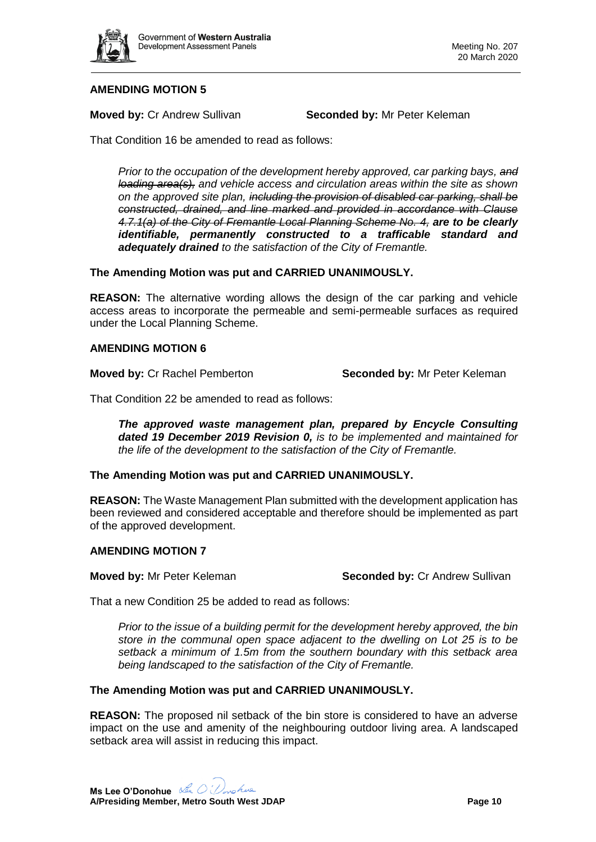

# **AMENDING MOTION 5**

**Moved by: Cr Andrew Sullivan <b>Seconded by:** Mr Peter Keleman

That Condition 16 be amended to read as follows:

*Prior to the occupation of the development hereby approved, car parking bays, and loading area(s), and vehicle access and circulation areas within the site as shown on the approved site plan, including the provision of disabled car parking, shall be constructed, drained, and line marked and provided in accordance with Clause 4.7.1(a) of the City of Fremantle Local Planning Scheme No. 4, are to be clearly identifiable, permanently constructed to a trafficable standard and adequately drained to the satisfaction of the City of Fremantle.*

#### **The Amending Motion was put and CARRIED UNANIMOUSLY.**

**REASON:** The alternative wording allows the design of the car parking and vehicle access areas to incorporate the permeable and semi-permeable surfaces as required under the Local Planning Scheme.

#### **AMENDING MOTION 6**

**Moved by:** Cr Rachel Pemberton **Seconded by:** Mr Peter Keleman

That Condition 22 be amended to read as follows:

*The approved waste management plan, prepared by Encycle Consulting dated 19 December 2019 Revision 0, is to be implemented and maintained for the life of the development to the satisfaction of the City of Fremantle.*

#### **The Amending Motion was put and CARRIED UNANIMOUSLY.**

**REASON:** The Waste Management Plan submitted with the development application has been reviewed and considered acceptable and therefore should be implemented as part of the approved development.

#### **AMENDING MOTION 7**

**Moved by:** Mr Peter Keleman **Seconded by:** Cr Andrew Sullivan

That a new Condition 25 be added to read as follows:

*Prior to the issue of a building permit for the development hereby approved, the bin store in the communal open space adjacent to the dwelling on Lot 25 is to be setback a minimum of 1.5m from the southern boundary with this setback area being landscaped to the satisfaction of the City of Fremantle.*

#### **The Amending Motion was put and CARRIED UNANIMOUSLY.**

**REASON:** The proposed nil setback of the bin store is considered to have an adverse impact on the use and amenity of the neighbouring outdoor living area. A landscaped setback area will assist in reducing this impact.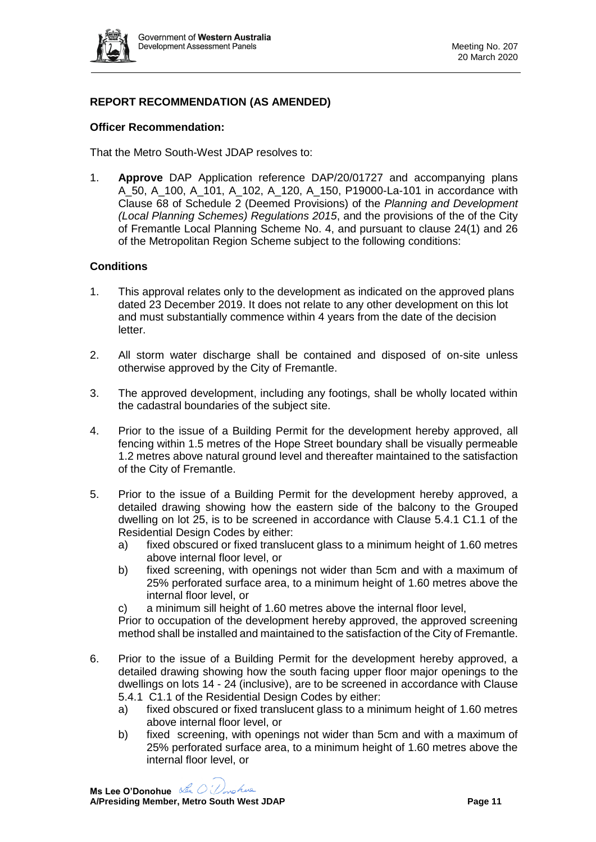

# **REPORT RECOMMENDATION (AS AMENDED)**

#### **Officer Recommendation:**

That the Metro South-West JDAP resolves to:

1. **Approve** DAP Application reference DAP/20/01727 and accompanying plans A\_50, A\_100, A\_101, A\_102, A\_120, A\_150, P19000-La-101 in accordance with Clause 68 of Schedule 2 (Deemed Provisions) of the *Planning and Development (Local Planning Schemes) Regulations 2015*, and the provisions of the of the City of Fremantle Local Planning Scheme No. 4, and pursuant to clause 24(1) and 26 of the Metropolitan Region Scheme subject to the following conditions:

#### **Conditions**

- 1. This approval relates only to the development as indicated on the approved plans dated 23 December 2019. It does not relate to any other development on this lot and must substantially commence within 4 years from the date of the decision letter.
- 2. All storm water discharge shall be contained and disposed of on-site unless otherwise approved by the City of Fremantle.
- 3. The approved development, including any footings, shall be wholly located within the cadastral boundaries of the subject site.
- 4. Prior to the issue of a Building Permit for the development hereby approved, all fencing within 1.5 metres of the Hope Street boundary shall be visually permeable 1.2 metres above natural ground level and thereafter maintained to the satisfaction of the City of Fremantle.
- 5. Prior to the issue of a Building Permit for the development hereby approved, a detailed drawing showing how the eastern side of the balcony to the Grouped dwelling on lot 25, is to be screened in accordance with Clause 5.4.1 C1.1 of the Residential Design Codes by either:
	- a) fixed obscured or fixed translucent glass to a minimum height of 1.60 metres above internal floor level, or
	- b) fixed screening, with openings not wider than 5cm and with a maximum of 25% perforated surface area, to a minimum height of 1.60 metres above the internal floor level, or
	- c) a minimum sill height of 1.60 metres above the internal floor level,

Prior to occupation of the development hereby approved, the approved screening method shall be installed and maintained to the satisfaction of the City of Fremantle.

- 6. Prior to the issue of a Building Permit for the development hereby approved, a detailed drawing showing how the south facing upper floor major openings to the dwellings on lots 14 - 24 (inclusive), are to be screened in accordance with Clause 5.4.1 C1.1 of the Residential Design Codes by either:
	- a) fixed obscured or fixed translucent glass to a minimum height of 1.60 metres above internal floor level, or
	- b) fixed screening, with openings not wider than 5cm and with a maximum of 25% perforated surface area, to a minimum height of 1.60 metres above the internal floor level, or

**Ms Lee O'Donohue A/Presiding Member, Metro South West JDAP Page 11**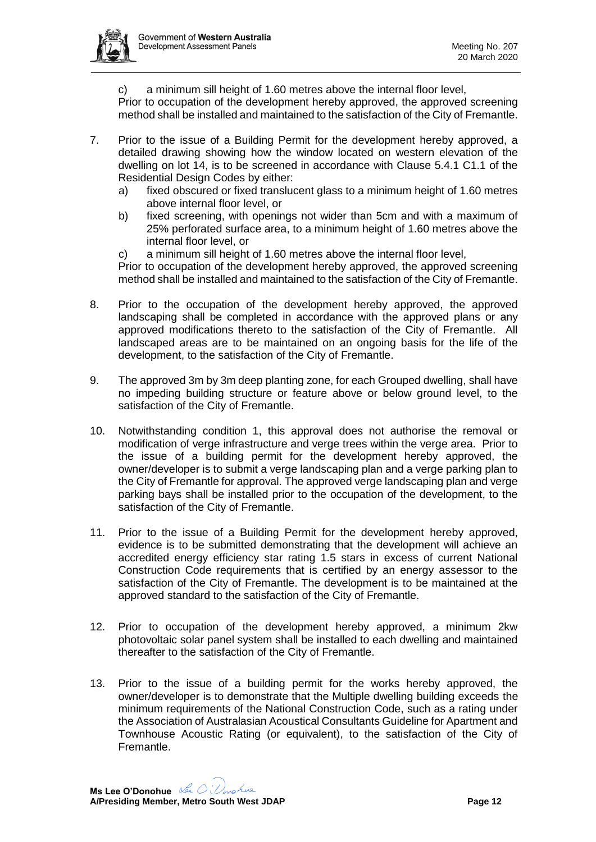

c) a minimum sill height of 1.60 metres above the internal floor level,

Prior to occupation of the development hereby approved, the approved screening method shall be installed and maintained to the satisfaction of the City of Fremantle.

- 7. Prior to the issue of a Building Permit for the development hereby approved, a detailed drawing showing how the window located on western elevation of the dwelling on lot 14, is to be screened in accordance with Clause 5.4.1 C1.1 of the Residential Design Codes by either:
	- a) fixed obscured or fixed translucent glass to a minimum height of 1.60 metres above internal floor level, or
	- b) fixed screening, with openings not wider than 5cm and with a maximum of 25% perforated surface area, to a minimum height of 1.60 metres above the internal floor level, or
	- c) a minimum sill height of 1.60 metres above the internal floor level,

Prior to occupation of the development hereby approved, the approved screening method shall be installed and maintained to the satisfaction of the City of Fremantle.

- 8. Prior to the occupation of the development hereby approved, the approved landscaping shall be completed in accordance with the approved plans or any approved modifications thereto to the satisfaction of the City of Fremantle. All landscaped areas are to be maintained on an ongoing basis for the life of the development, to the satisfaction of the City of Fremantle.
- 9. The approved 3m by 3m deep planting zone, for each Grouped dwelling, shall have no impeding building structure or feature above or below ground level, to the satisfaction of the City of Fremantle.
- 10. Notwithstanding condition 1, this approval does not authorise the removal or modification of verge infrastructure and verge trees within the verge area. Prior to the issue of a building permit for the development hereby approved, the owner/developer is to submit a verge landscaping plan and a verge parking plan to the City of Fremantle for approval. The approved verge landscaping plan and verge parking bays shall be installed prior to the occupation of the development, to the satisfaction of the City of Fremantle.
- 11. Prior to the issue of a Building Permit for the development hereby approved, evidence is to be submitted demonstrating that the development will achieve an accredited energy efficiency star rating 1.5 stars in excess of current National Construction Code requirements that is certified by an energy assessor to the satisfaction of the City of Fremantle. The development is to be maintained at the approved standard to the satisfaction of the City of Fremantle.
- 12. Prior to occupation of the development hereby approved, a minimum 2kw photovoltaic solar panel system shall be installed to each dwelling and maintained thereafter to the satisfaction of the City of Fremantle.
- 13. Prior to the issue of a building permit for the works hereby approved, the owner/developer is to demonstrate that the Multiple dwelling building exceeds the minimum requirements of the National Construction Code, such as a rating under the Association of Australasian Acoustical Consultants Guideline for Apartment and Townhouse Acoustic Rating (or equivalent), to the satisfaction of the City of Fremantle.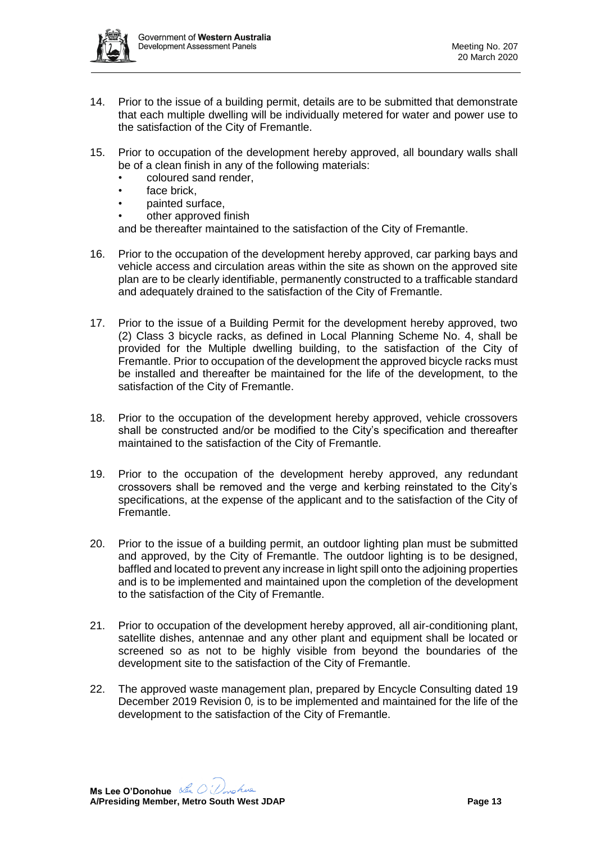

- 14. Prior to the issue of a building permit, details are to be submitted that demonstrate that each multiple dwelling will be individually metered for water and power use to the satisfaction of the City of Fremantle.
- 15. Prior to occupation of the development hereby approved, all boundary walls shall be of a clean finish in any of the following materials:
	- coloured sand render,
	- face brick,
	- painted surface,
	- other approved finish

and be thereafter maintained to the satisfaction of the City of Fremantle.

- 16. Prior to the occupation of the development hereby approved, car parking bays and vehicle access and circulation areas within the site as shown on the approved site plan are to be clearly identifiable, permanently constructed to a trafficable standard and adequately drained to the satisfaction of the City of Fremantle.
- 17. Prior to the issue of a Building Permit for the development hereby approved, two (2) Class 3 bicycle racks, as defined in Local Planning Scheme No. 4, shall be provided for the Multiple dwelling building, to the satisfaction of the City of Fremantle. Prior to occupation of the development the approved bicycle racks must be installed and thereafter be maintained for the life of the development, to the satisfaction of the City of Fremantle.
- 18. Prior to the occupation of the development hereby approved, vehicle crossovers shall be constructed and/or be modified to the City's specification and thereafter maintained to the satisfaction of the City of Fremantle.
- 19. Prior to the occupation of the development hereby approved, any redundant crossovers shall be removed and the verge and kerbing reinstated to the City's specifications, at the expense of the applicant and to the satisfaction of the City of Fremantle.
- 20. Prior to the issue of a building permit, an outdoor lighting plan must be submitted and approved, by the City of Fremantle. The outdoor lighting is to be designed, baffled and located to prevent any increase in light spill onto the adjoining properties and is to be implemented and maintained upon the completion of the development to the satisfaction of the City of Fremantle.
- 21. Prior to occupation of the development hereby approved, all air-conditioning plant, satellite dishes, antennae and any other plant and equipment shall be located or screened so as not to be highly visible from beyond the boundaries of the development site to the satisfaction of the City of Fremantle.
- 22. The approved waste management plan, prepared by Encycle Consulting dated 19 December 2019 Revision 0*,* is to be implemented and maintained for the life of the development to the satisfaction of the City of Fremantle.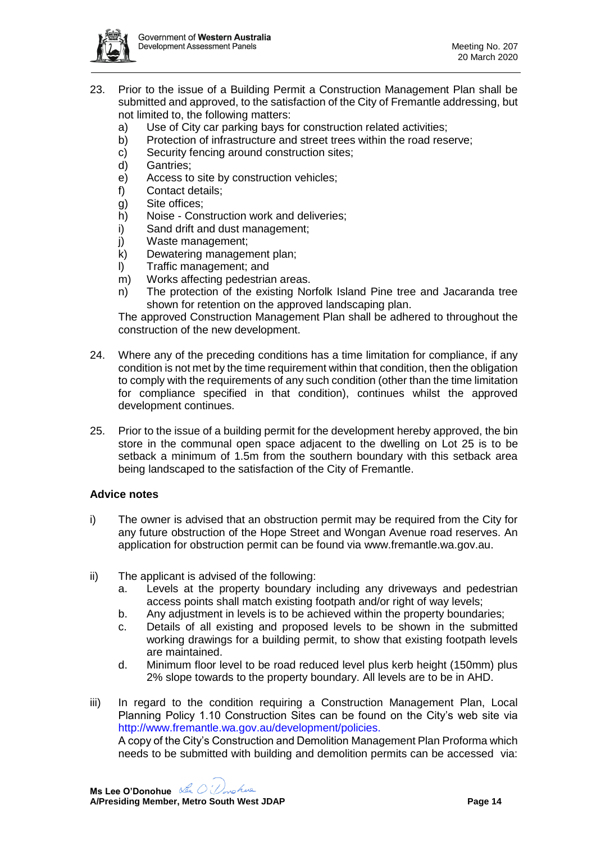

- 23. Prior to the issue of a Building Permit a Construction Management Plan shall be submitted and approved, to the satisfaction of the City of Fremantle addressing, but not limited to, the following matters:
	- a) Use of City car parking bays for construction related activities;
	- b) Protection of infrastructure and street trees within the road reserve;
	- c) Security fencing around construction sites;
	- d) Gantries;
	- e) Access to site by construction vehicles;
	- f) Contact details;
	- g) Site offices;
	- h) Noise Construction work and deliveries;
	- i) Sand drift and dust management;
	- j) Waste management;
	- k) Dewatering management plan;
	- l) Traffic management; and
	- m) Works affecting pedestrian areas.
	- n) The protection of the existing Norfolk Island Pine tree and Jacaranda tree shown for retention on the approved landscaping plan.

The approved Construction Management Plan shall be adhered to throughout the construction of the new development.

- 24. Where any of the preceding conditions has a time limitation for compliance, if any condition is not met by the time requirement within that condition, then the obligation to comply with the requirements of any such condition (other than the time limitation for compliance specified in that condition), continues whilst the approved development continues.
- 25. Prior to the issue of a building permit for the development hereby approved, the bin store in the communal open space adjacent to the dwelling on Lot 25 is to be setback a minimum of 1.5m from the southern boundary with this setback area being landscaped to the satisfaction of the City of Fremantle.

#### **Advice notes**

- i) The owner is advised that an obstruction permit may be required from the City for any future obstruction of the Hope Street and Wongan Avenue road reserves. An application for obstruction permit can be found via [www.fremantle.wa.gov.au.](http://www.fremantle.wa.gov.au/)
- ii) The applicant is advised of the following:
	- a. Levels at the property boundary including any driveways and pedestrian access points shall match existing footpath and/or right of way levels;
	- b. Any adjustment in levels is to be achieved within the property boundaries;
	- c. Details of all existing and proposed levels to be shown in the submitted working drawings for a building permit, to show that existing footpath levels are maintained.
	- d. Minimum floor level to be road reduced level plus kerb height (150mm) plus 2% slope towards to the property boundary. All levels are to be in AHD.
- iii) In regard to the condition requiring a Construction Management Plan, Local Planning Policy 1.10 Construction Sites can be found on the City's web site via http://www.fremantle.wa.gov.au/development/policies. A copy of the City's Construction and Demolition Management Plan Proforma which needs to be submitted with building and demolition permits can be accessed via:

**Ms Lee O'Donohue A/Presiding Member, Metro South West JDAP Page 14**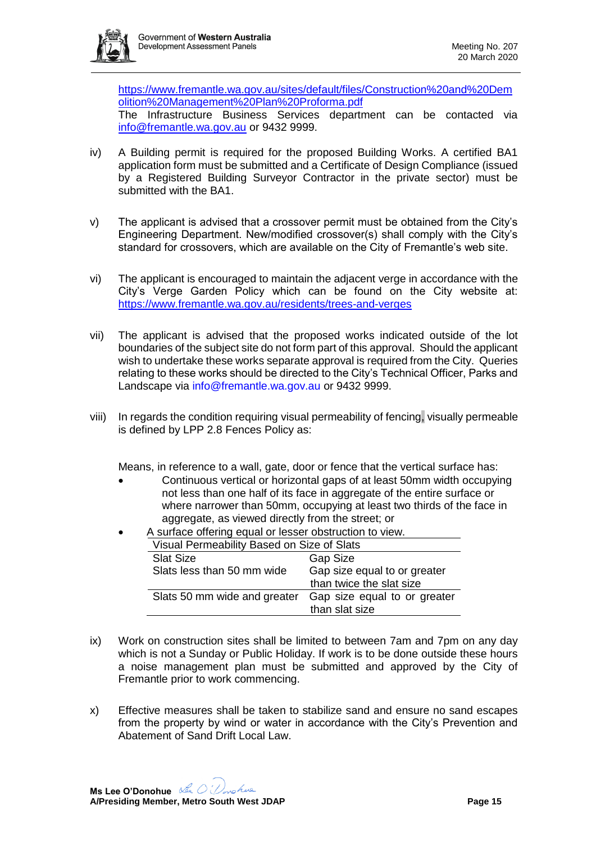[https://www.fremantle.wa.gov.au/sites/default/files/Construction%20and%20Dem](https://www.fremantle.wa.gov.au/sites/default/files/Construction%20and%20Demolition%20Management%20Plan%20Proforma.pdf) [olition%20Management%20Plan%20Proforma.pdf](https://www.fremantle.wa.gov.au/sites/default/files/Construction%20and%20Demolition%20Management%20Plan%20Proforma.pdf)

The Infrastructure Business Services department can be contacted via [info@fremantle.wa.gov.au](mailto:ibs@fremantle.wa.gov.au) or 9432 9999.

- iv) A Building permit is required for the proposed Building Works. A certified BA1 application form must be submitted and a Certificate of Design Compliance (issued by a Registered Building Surveyor Contractor in the private sector) must be submitted with the BA1.
- v) The applicant is advised that a crossover permit must be obtained from the City's Engineering Department. New/modified crossover(s) shall comply with the City's standard for crossovers, which are available on the City of Fremantle's web site.
- vi) The applicant is encouraged to maintain the adjacent verge in accordance with the City's Verge Garden Policy which can be found on the City website at: <https://www.fremantle.wa.gov.au/residents/trees-and-verges>
- vii) The applicant is advised that the proposed works indicated outside of the lot boundaries of the subject site do not form part of this approval. Should the applicant wish to undertake these works separate approval is required from the City. Queries relating to these works should be directed to the City's Technical Officer, Parks and Landscape via [info@fremantle.wa.gov.au](mailto:info@fremantle.wa.gov.au) or 9432 9999.
- viii) In regards the condition requiring visual permeability of fencing, visually permeable is defined by LPP 2.8 Fences Policy as:

Means, in reference to a wall, gate, door or fence that the vertical surface has:

- Continuous vertical or horizontal gaps of at least 50mm width occupying not less than one half of its face in aggregate of the entire surface or where narrower than 50mm, occupying at least two thirds of the face in aggregate, as viewed directly from the street; or
- A surface offering equal or lesser obstruction to view. Visual Permeability Based on Size of Slats

|                                            | than slat size               |
|--------------------------------------------|------------------------------|
| Slats 50 mm wide and greater               | Gap size equal to or greater |
|                                            | than twice the slat size     |
| Slats less than 50 mm wide                 | Gap size equal to or greater |
| <b>Slat Size</b>                           | <b>Gap Size</b>              |
| Visual Permeability Based on Size of Slats |                              |

- ix) Work on construction sites shall be limited to between 7am and 7pm on any day which is not a Sunday or Public Holiday. If work is to be done outside these hours a noise management plan must be submitted and approved by the City of Fremantle prior to work commencing.
- x) Effective measures shall be taken to stabilize sand and ensure no sand escapes from the property by wind or water in accordance with the City's Prevention and Abatement of Sand Drift Local Law.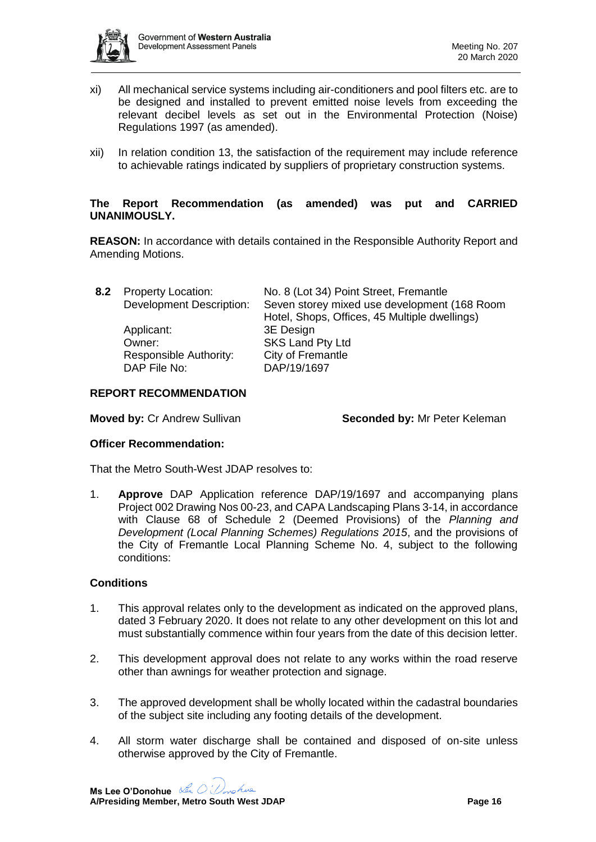

- xi) All mechanical service systems including air-conditioners and pool filters etc. are to be designed and installed to prevent emitted noise levels from exceeding the relevant decibel levels as set out in the Environmental Protection (Noise) Regulations 1997 (as amended).
- xii) In relation condition 13, the satisfaction of the requirement may include reference to achievable ratings indicated by suppliers of proprietary construction systems.

#### **The Report Recommendation (as amended) was put and CARRIED UNANIMOUSLY.**

**REASON:** In accordance with details contained in the Responsible Authority Report and Amending Motions.

| 8.2 Property Location:          | No. 8 (Lot 34) Point Street, Fremantle        |
|---------------------------------|-----------------------------------------------|
| <b>Development Description:</b> | Seven storey mixed use development (168 Room  |
|                                 | Hotel, Shops, Offices, 45 Multiple dwellings) |
| Applicant:                      | 3E Design                                     |
| Owner:                          | SKS Land Pty Ltd                              |
| Responsible Authority:          | City of Fremantle                             |
| DAP File No:                    | DAP/19/1697                                   |

#### **REPORT RECOMMENDATION**

**Moved by:** Cr Andrew Sullivan **Seconded by: Mr Peter Keleman** 

#### **Officer Recommendation:**

That the Metro South-West JDAP resolves to:

1. **Approve** DAP Application reference DAP/19/1697 and accompanying plans Project 002 Drawing Nos 00-23, and CAPA Landscaping Plans 3-14, in accordance with Clause 68 of Schedule 2 (Deemed Provisions) of the *Planning and Development (Local Planning Schemes) Regulations 2015*, and the provisions of the City of Fremantle Local Planning Scheme No. 4, subject to the following conditions:

### **Conditions**

- 1. This approval relates only to the development as indicated on the approved plans, dated 3 February 2020. It does not relate to any other development on this lot and must substantially commence within four years from the date of this decision letter.
- 2. This development approval does not relate to any works within the road reserve other than awnings for weather protection and signage.
- 3. The approved development shall be wholly located within the cadastral boundaries of the subject site including any footing details of the development.
- 4. All storm water discharge shall be contained and disposed of on-site unless otherwise approved by the City of Fremantle.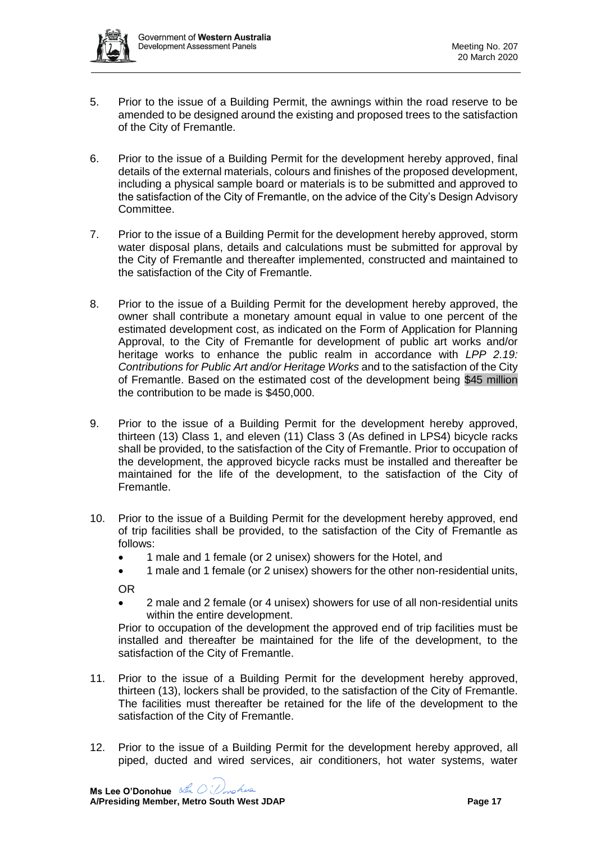- 5. Prior to the issue of a Building Permit, the awnings within the road reserve to be amended to be designed around the existing and proposed trees to the satisfaction of the City of Fremantle.
- 6. Prior to the issue of a Building Permit for the development hereby approved, final details of the external materials, colours and finishes of the proposed development, including a physical sample board or materials is to be submitted and approved to the satisfaction of the City of Fremantle, on the advice of the City's Design Advisory Committee.
- 7. Prior to the issue of a Building Permit for the development hereby approved, storm water disposal plans, details and calculations must be submitted for approval by the City of Fremantle and thereafter implemented, constructed and maintained to the satisfaction of the City of Fremantle.
- 8. Prior to the issue of a Building Permit for the development hereby approved, the owner shall contribute a monetary amount equal in value to one percent of the estimated development cost, as indicated on the Form of Application for Planning Approval, to the City of Fremantle for development of public art works and/or heritage works to enhance the public realm in accordance with *LPP 2.19: Contributions for Public Art and/or Heritage Works* and to the satisfaction of the City of Fremantle. Based on the estimated cost of the development being \$45 million the contribution to be made is \$450,000.
- 9. Prior to the issue of a Building Permit for the development hereby approved, thirteen (13) Class 1, and eleven (11) Class 3 (As defined in LPS4) bicycle racks shall be provided, to the satisfaction of the City of Fremantle. Prior to occupation of the development, the approved bicycle racks must be installed and thereafter be maintained for the life of the development, to the satisfaction of the City of Fremantle.
- 10. Prior to the issue of a Building Permit for the development hereby approved, end of trip facilities shall be provided, to the satisfaction of the City of Fremantle as follows:
	- 1 male and 1 female (or 2 unisex) showers for the Hotel, and
	- 1 male and 1 female (or 2 unisex) showers for the other non-residential units,

OR

• 2 male and 2 female (or 4 unisex) showers for use of all non-residential units within the entire development.

Prior to occupation of the development the approved end of trip facilities must be installed and thereafter be maintained for the life of the development, to the satisfaction of the City of Fremantle.

- 11. Prior to the issue of a Building Permit for the development hereby approved, thirteen (13), lockers shall be provided, to the satisfaction of the City of Fremantle. The facilities must thereafter be retained for the life of the development to the satisfaction of the City of Fremantle.
- 12. Prior to the issue of a Building Permit for the development hereby approved, all piped, ducted and wired services, air conditioners, hot water systems, water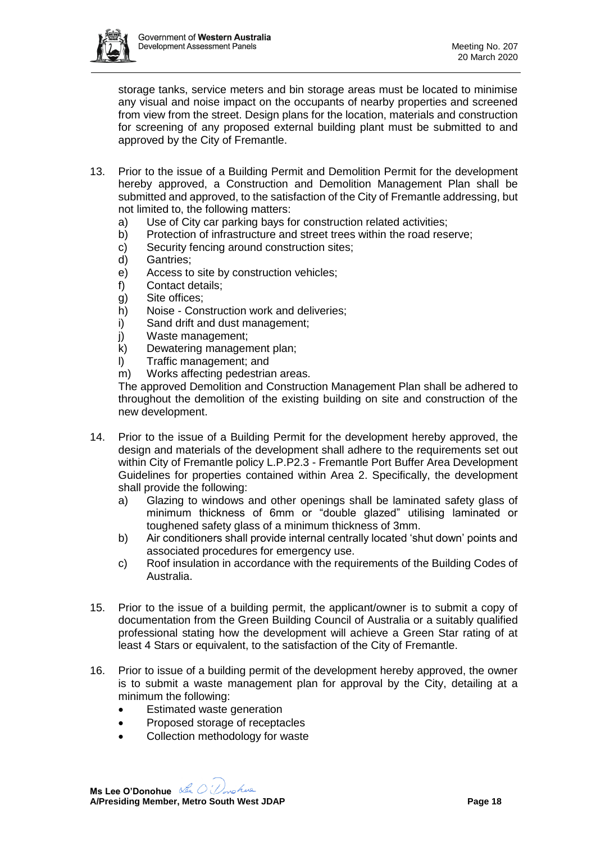

storage tanks, service meters and bin storage areas must be located to minimise any visual and noise impact on the occupants of nearby properties and screened from view from the street. Design plans for the location, materials and construction for screening of any proposed external building plant must be submitted to and approved by the City of Fremantle.

- 13. Prior to the issue of a Building Permit and Demolition Permit for the development hereby approved, a Construction and Demolition Management Plan shall be submitted and approved, to the satisfaction of the City of Fremantle addressing, but not limited to, the following matters:
	- a) Use of City car parking bays for construction related activities;
	- b) Protection of infrastructure and street trees within the road reserve;
	- c) Security fencing around construction sites;
	- d) Gantries;
	- e) Access to site by construction vehicles;
	- f) Contact details;
	- g) Site offices;
	- h) Noise Construction work and deliveries;
	- i) Sand drift and dust management;
	- j) Waste management;
	- k) Dewatering management plan;
	- l) Traffic management; and
	- m) Works affecting pedestrian areas.

The approved Demolition and Construction Management Plan shall be adhered to throughout the demolition of the existing building on site and construction of the new development.

- 14. Prior to the issue of a Building Permit for the development hereby approved, the design and materials of the development shall adhere to the requirements set out within City of Fremantle policy L.P.P2.3 - Fremantle Port Buffer Area Development Guidelines for properties contained within Area 2. Specifically, the development shall provide the following:
	- a) Glazing to windows and other openings shall be laminated safety glass of minimum thickness of 6mm or "double glazed" utilising laminated or toughened safety glass of a minimum thickness of 3mm.
	- b) Air conditioners shall provide internal centrally located 'shut down' points and associated procedures for emergency use.
	- c) Roof insulation in accordance with the requirements of the Building Codes of Australia.
- 15. Prior to the issue of a building permit, the applicant/owner is to submit a copy of documentation from the Green Building Council of Australia or a suitably qualified professional stating how the development will achieve a Green Star rating of at least 4 Stars or equivalent, to the satisfaction of the City of Fremantle.
- 16. Prior to issue of a building permit of the development hereby approved, the owner is to submit a waste management plan for approval by the City, detailing at a minimum the following:
	- Estimated waste generation
	- Proposed storage of receptacles
	- Collection methodology for waste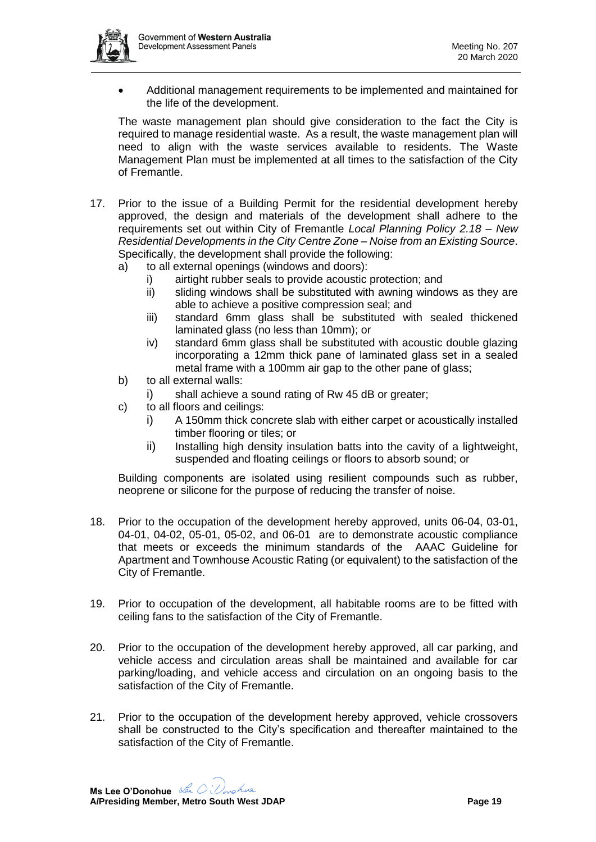

• Additional management requirements to be implemented and maintained for the life of the development.

The waste management plan should give consideration to the fact the City is required to manage residential waste. As a result, the waste management plan will need to align with the waste services available to residents. The Waste Management Plan must be implemented at all times to the satisfaction of the City of Fremantle.

- 17. Prior to the issue of a Building Permit for the residential development hereby approved, the design and materials of the development shall adhere to the requirements set out within City of Fremantle *Local Planning Policy 2.18 – New Residential Developments in the City Centre Zone – Noise from an Existing Source*. Specifically, the development shall provide the following:
	- a) to all external openings (windows and doors):
		- i) airtight rubber seals to provide acoustic protection; and
		- ii) sliding windows shall be substituted with awning windows as they are able to achieve a positive compression seal; and
		- iii) standard 6mm glass shall be substituted with sealed thickened laminated glass (no less than 10mm); or
		- iv) standard 6mm glass shall be substituted with acoustic double glazing incorporating a 12mm thick pane of laminated glass set in a sealed metal frame with a 100mm air gap to the other pane of glass;
	- b) to all external walls:
		- i) shall achieve a sound rating of Rw 45 dB or greater;
	- c) to all floors and ceilings:
		- i) A 150mm thick concrete slab with either carpet or acoustically installed timber flooring or tiles; or
		- ii) Installing high density insulation batts into the cavity of a lightweight, suspended and floating ceilings or floors to absorb sound; or

Building components are isolated using resilient compounds such as rubber, neoprene or silicone for the purpose of reducing the transfer of noise.

- 18. Prior to the occupation of the development hereby approved, units 06-04, 03-01, 04-01, 04-02, 05-01, 05-02, and 06-01 are to demonstrate acoustic compliance that meets or exceeds the minimum standards of the AAAC Guideline for Apartment and Townhouse Acoustic Rating (or equivalent) to the satisfaction of the City of Fremantle.
- 19. Prior to occupation of the development, all habitable rooms are to be fitted with ceiling fans to the satisfaction of the City of Fremantle.
- 20. Prior to the occupation of the development hereby approved, all car parking, and vehicle access and circulation areas shall be maintained and available for car parking/loading, and vehicle access and circulation on an ongoing basis to the satisfaction of the City of Fremantle.
- 21. Prior to the occupation of the development hereby approved, vehicle crossovers shall be constructed to the City's specification and thereafter maintained to the satisfaction of the City of Fremantle.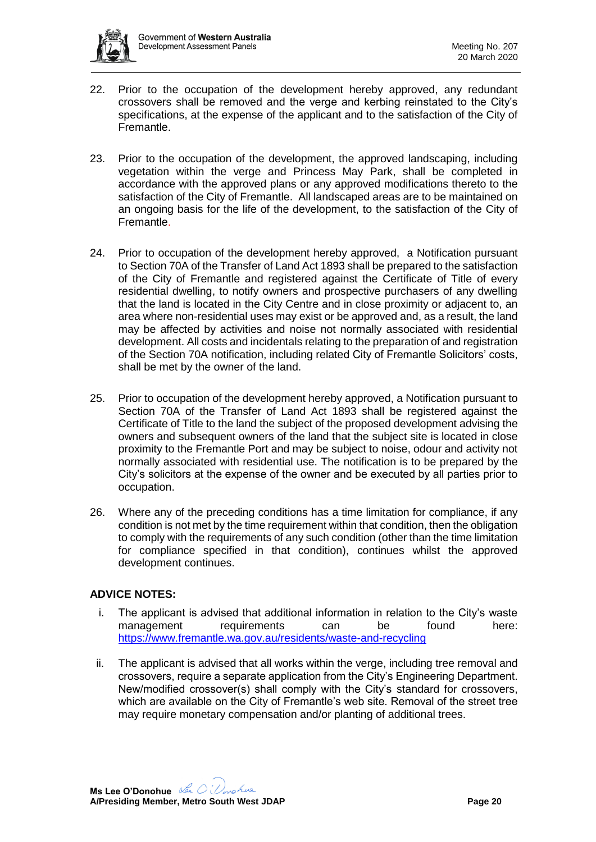

- 22. Prior to the occupation of the development hereby approved, any redundant crossovers shall be removed and the verge and kerbing reinstated to the City's specifications, at the expense of the applicant and to the satisfaction of the City of Fremantle.
- 23. Prior to the occupation of the development, the approved landscaping, including vegetation within the verge and Princess May Park, shall be completed in accordance with the approved plans or any approved modifications thereto to the satisfaction of the City of Fremantle. All landscaped areas are to be maintained on an ongoing basis for the life of the development, to the satisfaction of the City of Fremantle.
- 24. Prior to occupation of the development hereby approved, a Notification pursuant to Section 70A of the Transfer of Land Act 1893 shall be prepared to the satisfaction of the City of Fremantle and registered against the Certificate of Title of every residential dwelling, to notify owners and prospective purchasers of any dwelling that the land is located in the City Centre and in close proximity or adjacent to, an area where non-residential uses may exist or be approved and, as a result, the land may be affected by activities and noise not normally associated with residential development. All costs and incidentals relating to the preparation of and registration of the Section 70A notification, including related City of Fremantle Solicitors' costs, shall be met by the owner of the land.
- 25. Prior to occupation of the development hereby approved, a Notification pursuant to Section 70A of the Transfer of Land Act 1893 shall be registered against the Certificate of Title to the land the subject of the proposed development advising the owners and subsequent owners of the land that the subject site is located in close proximity to the Fremantle Port and may be subject to noise, odour and activity not normally associated with residential use. The notification is to be prepared by the City's solicitors at the expense of the owner and be executed by all parties prior to occupation.
- 26. Where any of the preceding conditions has a time limitation for compliance, if any condition is not met by the time requirement within that condition, then the obligation to comply with the requirements of any such condition (other than the time limitation for compliance specified in that condition), continues whilst the approved development continues.

# **ADVICE NOTES:**

- i. The applicant is advised that additional information in relation to the City's waste management requirements can be found here: <https://www.fremantle.wa.gov.au/residents/waste-and-recycling>
- ii. The applicant is advised that all works within the verge, including tree removal and crossovers, require a separate application from the City's Engineering Department. New/modified crossover(s) shall comply with the City's standard for crossovers, which are available on the City of Fremantle's web site. Removal of the street tree may require monetary compensation and/or planting of additional trees.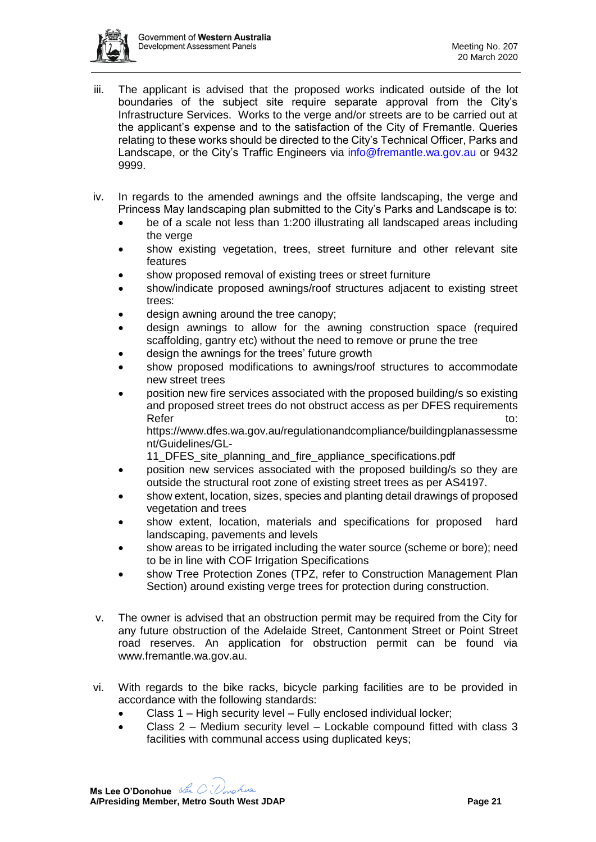

- iii. The applicant is advised that the proposed works indicated outside of the lot boundaries of the subject site require separate approval from the City's Infrastructure Services. Works to the verge and/or streets are to be carried out at the applicant's expense and to the satisfaction of the City of Fremantle. Queries relating to these works should be directed to the City's Technical Officer, Parks and Landscape, or the City's Traffic Engineers via [info@fremantle.wa.gov.au](mailto:info@fremantle.wa.gov.au) or 9432 9999.
- iv. In regards to the amended awnings and the offsite landscaping, the verge and Princess May landscaping plan submitted to the City's Parks and Landscape is to:
	- be of a scale not less than 1:200 illustrating all landscaped areas including the verge
	- show existing vegetation, trees, street furniture and other relevant site features
	- show proposed removal of existing trees or street furniture
	- show/indicate proposed awnings/roof structures adjacent to existing street trees:
	- design awning around the tree canopy:
	- design awnings to allow for the awning construction space (required scaffolding, gantry etc) without the need to remove or prune the tree
	- design the awnings for the trees' future growth
	- show proposed modifications to awnings/roof structures to accommodate new street trees
	- position new fire services associated with the proposed building/s so existing and proposed street trees do not obstruct access as per DFES requirements Refer to: the contract of the contract of the contract of the contract of the contract of the contract of the contract of the contract of the contract of the contract of the contract of the contract of the contract of the

https://www.dfes.wa.gov.au/regulationandcompliance/buildingplanassessme nt/Guidelines/GL-

11 DFES site planning and fire appliance specifications.pdf

- position new services associated with the proposed building/s so they are outside the structural root zone of existing street trees as per AS4197.
- show extent, location, sizes, species and planting detail drawings of proposed vegetation and trees
- show extent, location, materials and specifications for proposed hard landscaping, pavements and levels
- show areas to be irrigated including the water source (scheme or bore); need to be in line with COF Irrigation Specifications
- show Tree Protection Zones (TPZ, refer to Construction Management Plan Section) around existing verge trees for protection during construction.
- v. The owner is advised that an obstruction permit may be required from the City for any future obstruction of the Adelaide Street, Cantonment Street or Point Street road reserves. An application for obstruction permit can be found via www.fremantle.wa.gov.au.
- vi. With regards to the bike racks, bicycle parking facilities are to be provided in accordance with the following standards:
	- Class 1 High security level Fully enclosed individual locker;
	- Class 2 Medium security level Lockable compound fitted with class 3 facilities with communal access using duplicated keys;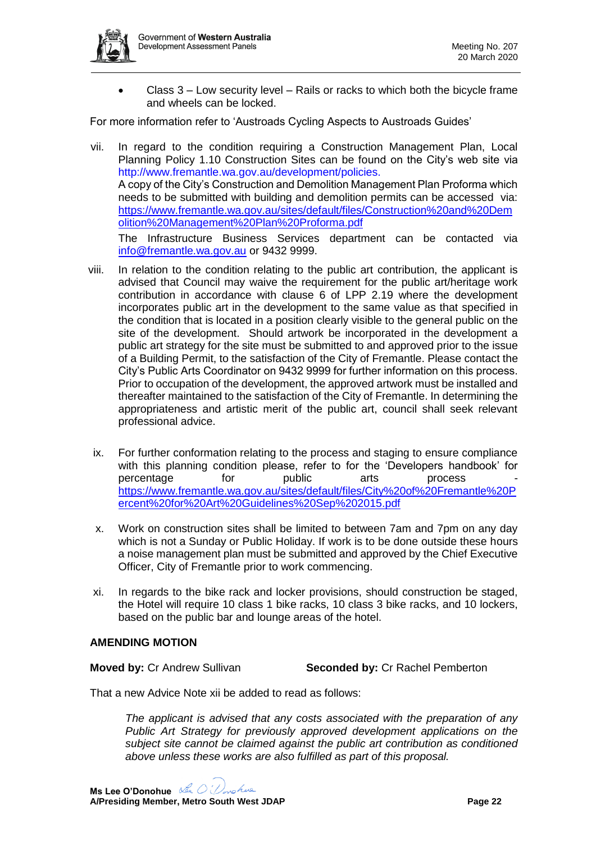

• Class 3 – Low security level – Rails or racks to which both the bicycle frame and wheels can be locked.

For more information refer to 'Austroads Cycling Aspects to Austroads Guides'

vii. In regard to the condition requiring a Construction Management Plan, Local Planning Policy 1.10 Construction Sites can be found on the City's web site via http://www.fremantle.wa.gov.au/development/policies. A copy of the City's Construction and Demolition Management Plan Proforma which needs to be submitted with building and demolition permits can be accessed via: [https://www.fremantle.wa.gov.au/sites/default/files/Construction%20and%20Dem](https://www.fremantle.wa.gov.au/sites/default/files/Construction%20and%20Demolition%20Management%20Plan%20Proforma.pdf) [olition%20Management%20Plan%20Proforma.pdf](https://www.fremantle.wa.gov.au/sites/default/files/Construction%20and%20Demolition%20Management%20Plan%20Proforma.pdf)

The Infrastructure Business Services department can be contacted via [info@fremantle.wa.gov.au](mailto:ibs@fremantle.wa.gov.au) or 9432 9999.

- viii. In relation to the condition relating to the public art contribution, the applicant is advised that Council may waive the requirement for the public art/heritage work contribution in accordance with clause 6 of LPP 2.19 where the development incorporates public art in the development to the same value as that specified in the condition that is located in a position clearly visible to the general public on the site of the development. Should artwork be incorporated in the development a public art strategy for the site must be submitted to and approved prior to the issue of a Building Permit, to the satisfaction of the City of Fremantle. Please contact the City's Public Arts Coordinator on 9432 9999 for further information on this process. Prior to occupation of the development, the approved artwork must be installed and thereafter maintained to the satisfaction of the City of Fremantle. In determining the appropriateness and artistic merit of the public art, council shall seek relevant professional advice.
	- ix. For further conformation relating to the process and staging to ensure compliance with this planning condition please, refer to for the 'Developers handbook' for percentage for public arts process [https://www.fremantle.wa.gov.au/sites/default/files/City%20of%20Fremantle%20P](https://www.fremantle.wa.gov.au/sites/default/files/City%20of%20Fremantle%20Percent%20for%20Art%20Guidelines%20Sep%202015.pdf) [ercent%20for%20Art%20Guidelines%20Sep%202015.pdf](https://www.fremantle.wa.gov.au/sites/default/files/City%20of%20Fremantle%20Percent%20for%20Art%20Guidelines%20Sep%202015.pdf)
	- x. Work on construction sites shall be limited to between 7am and 7pm on any day which is not a Sunday or Public Holiday. If work is to be done outside these hours a noise management plan must be submitted and approved by the Chief Executive Officer, City of Fremantle prior to work commencing.
- xi. In regards to the bike rack and locker provisions, should construction be staged, the Hotel will require 10 class 1 bike racks, 10 class 3 bike racks, and 10 lockers, based on the public bar and lounge areas of the hotel.

### **AMENDING MOTION**

**Moved by:** Cr Andrew Sullivan **Seconded by:** Cr Rachel Pemberton

That a new Advice Note xii be added to read as follows:

*The applicant is advised that any costs associated with the preparation of any Public Art Strategy for previously approved development applications on the subject site cannot be claimed against the public art contribution as conditioned above unless these works are also fulfilled as part of this proposal.*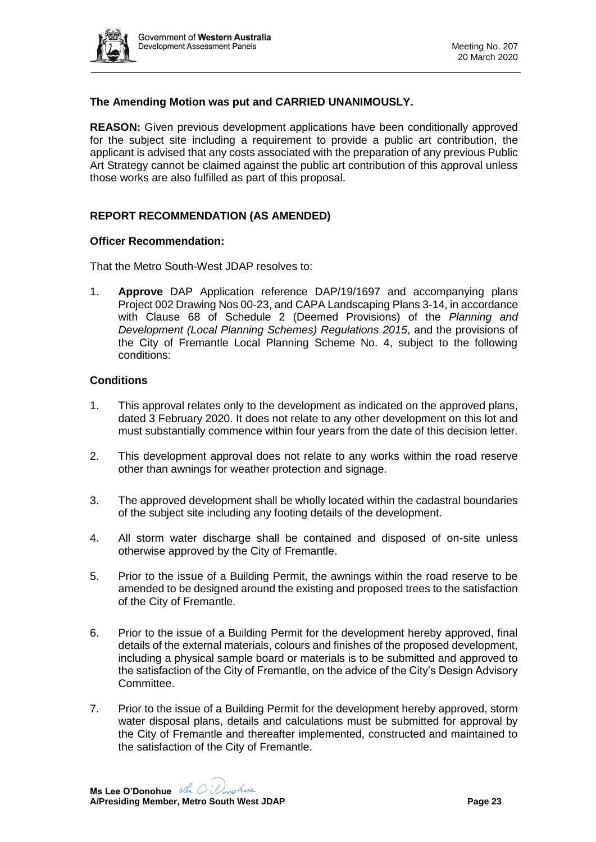

# **The Amending Motion was put and CARRIED UNANIMOUSLY.**

**REASON:** Given previous development applications have been conditionally approved for the subject site including a requirement to provide a public art contribution, the applicant is advised that any costs associated with the preparation of any previous Public Art Strategy cannot be claimed against the public art contribution of this approval unless those works are also fulfilled as part of this proposal.

### **REPORT RECOMMENDATION (AS AMENDED)**

#### **Officer Recommendation:**

That the Metro South-West JDAP resolves to:

1. **Approve** DAP Application reference DAP/19/1697 and accompanying plans Project 002 Drawing Nos 00-23, and CAPA Landscaping Plans 3-14, in accordance with Clause 68 of Schedule 2 (Deemed Provisions) of the *Planning and Development (Local Planning Schemes) Regulations 2015*, and the provisions of the City of Fremantle Local Planning Scheme No. 4, subject to the following conditions:

#### **Conditions**

- 1. This approval relates only to the development as indicated on the approved plans, dated 3 February 2020. It does not relate to any other development on this lot and must substantially commence within four years from the date of this decision letter.
- 2. This development approval does not relate to any works within the road reserve other than awnings for weather protection and signage.
- 3. The approved development shall be wholly located within the cadastral boundaries of the subject site including any footing details of the development.
- 4. All storm water discharge shall be contained and disposed of on-site unless otherwise approved by the City of Fremantle.
- 5. Prior to the issue of a Building Permit, the awnings within the road reserve to be amended to be designed around the existing and proposed trees to the satisfaction of the City of Fremantle.
- 6. Prior to the issue of a Building Permit for the development hereby approved, final details of the external materials, colours and finishes of the proposed development, including a physical sample board or materials is to be submitted and approved to the satisfaction of the City of Fremantle, on the advice of the City's Design Advisory Committee.
- 7. Prior to the issue of a Building Permit for the development hereby approved, storm water disposal plans, details and calculations must be submitted for approval by the City of Fremantle and thereafter implemented, constructed and maintained to the satisfaction of the City of Fremantle.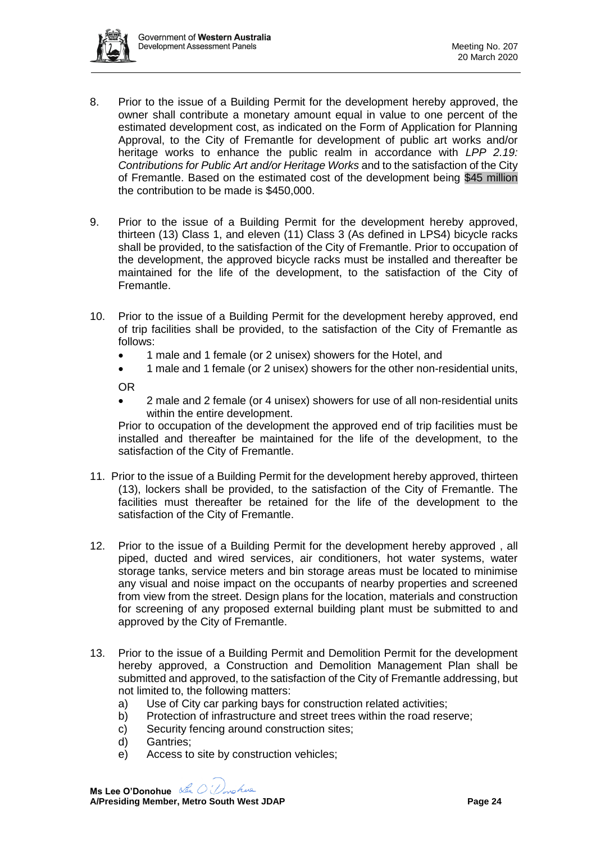

- 8. Prior to the issue of a Building Permit for the development hereby approved, the owner shall contribute a monetary amount equal in value to one percent of the estimated development cost, as indicated on the Form of Application for Planning Approval, to the City of Fremantle for development of public art works and/or heritage works to enhance the public realm in accordance with *LPP 2.19: Contributions for Public Art and/or Heritage Works* and to the satisfaction of the City of Fremantle. Based on the estimated cost of the development being \$45 million the contribution to be made is \$450,000.
- 9. Prior to the issue of a Building Permit for the development hereby approved, thirteen (13) Class 1, and eleven (11) Class 3 (As defined in LPS4) bicycle racks shall be provided, to the satisfaction of the City of Fremantle. Prior to occupation of the development, the approved bicycle racks must be installed and thereafter be maintained for the life of the development, to the satisfaction of the City of Fremantle.
- 10. Prior to the issue of a Building Permit for the development hereby approved, end of trip facilities shall be provided, to the satisfaction of the City of Fremantle as follows:
	- 1 male and 1 female (or 2 unisex) showers for the Hotel, and
	- 1 male and 1 female (or 2 unisex) showers for the other non-residential units,

OR

• 2 male and 2 female (or 4 unisex) showers for use of all non-residential units within the entire development.

Prior to occupation of the development the approved end of trip facilities must be installed and thereafter be maintained for the life of the development, to the satisfaction of the City of Fremantle.

- 11. Prior to the issue of a Building Permit for the development hereby approved, thirteen (13), lockers shall be provided, to the satisfaction of the City of Fremantle. The facilities must thereafter be retained for the life of the development to the satisfaction of the City of Fremantle.
- 12. Prior to the issue of a Building Permit for the development hereby approved , all piped, ducted and wired services, air conditioners, hot water systems, water storage tanks, service meters and bin storage areas must be located to minimise any visual and noise impact on the occupants of nearby properties and screened from view from the street. Design plans for the location, materials and construction for screening of any proposed external building plant must be submitted to and approved by the City of Fremantle.
- 13. Prior to the issue of a Building Permit and Demolition Permit for the development hereby approved, a Construction and Demolition Management Plan shall be submitted and approved, to the satisfaction of the City of Fremantle addressing, but not limited to, the following matters:
	- a) Use of City car parking bays for construction related activities;
	- b) Protection of infrastructure and street trees within the road reserve;
	- c) Security fencing around construction sites;
	- d) Gantries;
	- e) Access to site by construction vehicles;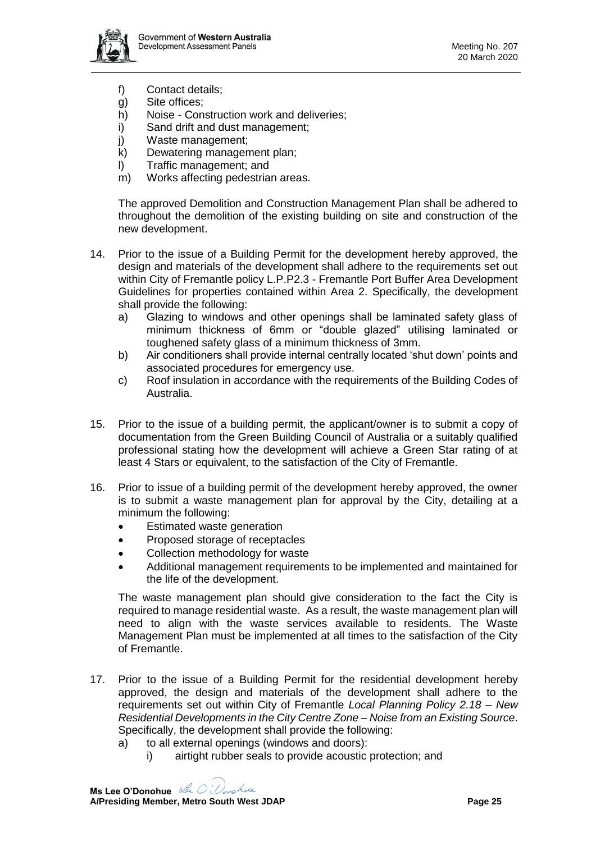

- f) Contact details;
- g) Site offices;
- h) Noise Construction work and deliveries;
- i) Sand drift and dust management;
- j) Waste management;
- k) Dewatering management plan;
- l) Traffic management; and
- m) Works affecting pedestrian areas.

The approved Demolition and Construction Management Plan shall be adhered to throughout the demolition of the existing building on site and construction of the new development.

- 14. Prior to the issue of a Building Permit for the development hereby approved, the design and materials of the development shall adhere to the requirements set out within City of Fremantle policy L.P.P2.3 - Fremantle Port Buffer Area Development Guidelines for properties contained within Area 2. Specifically, the development shall provide the following:
	- a) Glazing to windows and other openings shall be laminated safety glass of minimum thickness of 6mm or "double glazed" utilising laminated or toughened safety glass of a minimum thickness of 3mm.
	- b) Air conditioners shall provide internal centrally located 'shut down' points and associated procedures for emergency use.
	- c) Roof insulation in accordance with the requirements of the Building Codes of Australia.
- 15. Prior to the issue of a building permit, the applicant/owner is to submit a copy of documentation from the Green Building Council of Australia or a suitably qualified professional stating how the development will achieve a Green Star rating of at least 4 Stars or equivalent, to the satisfaction of the City of Fremantle.
- 16. Prior to issue of a building permit of the development hereby approved, the owner is to submit a waste management plan for approval by the City, detailing at a minimum the following:
	- Estimated waste generation
	- Proposed storage of receptacles
	- Collection methodology for waste
	- Additional management requirements to be implemented and maintained for the life of the development.

The waste management plan should give consideration to the fact the City is required to manage residential waste. As a result, the waste management plan will need to align with the waste services available to residents. The Waste Management Plan must be implemented at all times to the satisfaction of the City of Fremantle.

- 17. Prior to the issue of a Building Permit for the residential development hereby approved, the design and materials of the development shall adhere to the requirements set out within City of Fremantle *Local Planning Policy 2.18 – New Residential Developments in the City Centre Zone – Noise from an Existing Source*. Specifically, the development shall provide the following:
	- a) to all external openings (windows and doors):
		- i) airtight rubber seals to provide acoustic protection; and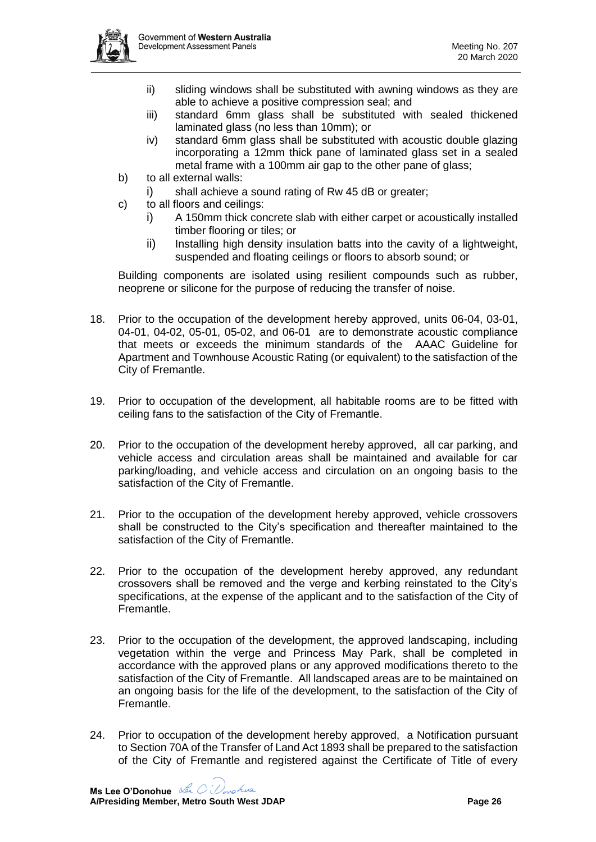

- ii) sliding windows shall be substituted with awning windows as they are able to achieve a positive compression seal; and
- iii) standard 6mm glass shall be substituted with sealed thickened laminated glass (no less than 10mm); or
- iv) standard 6mm glass shall be substituted with acoustic double glazing incorporating a 12mm thick pane of laminated glass set in a sealed metal frame with a 100mm air gap to the other pane of glass;
- b) to all external walls:
	- i) shall achieve a sound rating of Rw 45 dB or greater;
- c) to all floors and ceilings:
	- i) A 150mm thick concrete slab with either carpet or acoustically installed timber flooring or tiles; or
	- ii) Installing high density insulation batts into the cavity of a lightweight, suspended and floating ceilings or floors to absorb sound; or

Building components are isolated using resilient compounds such as rubber, neoprene or silicone for the purpose of reducing the transfer of noise.

- 18. Prior to the occupation of the development hereby approved, units 06-04, 03-01, 04-01, 04-02, 05-01, 05-02, and 06-01 are to demonstrate acoustic compliance that meets or exceeds the minimum standards of the AAAC Guideline for Apartment and Townhouse Acoustic Rating (or equivalent) to the satisfaction of the City of Fremantle.
- 19. Prior to occupation of the development, all habitable rooms are to be fitted with ceiling fans to the satisfaction of the City of Fremantle.
- 20. Prior to the occupation of the development hereby approved, all car parking, and vehicle access and circulation areas shall be maintained and available for car parking/loading, and vehicle access and circulation on an ongoing basis to the satisfaction of the City of Fremantle.
- 21. Prior to the occupation of the development hereby approved, vehicle crossovers shall be constructed to the City's specification and thereafter maintained to the satisfaction of the City of Fremantle.
- 22. Prior to the occupation of the development hereby approved, any redundant crossovers shall be removed and the verge and kerbing reinstated to the City's specifications, at the expense of the applicant and to the satisfaction of the City of Fremantle.
- 23. Prior to the occupation of the development, the approved landscaping, including vegetation within the verge and Princess May Park, shall be completed in accordance with the approved plans or any approved modifications thereto to the satisfaction of the City of Fremantle. All landscaped areas are to be maintained on an ongoing basis for the life of the development, to the satisfaction of the City of Fremantle.
- 24. Prior to occupation of the development hereby approved, a Notification pursuant to Section 70A of the Transfer of Land Act 1893 shall be prepared to the satisfaction of the City of Fremantle and registered against the Certificate of Title of every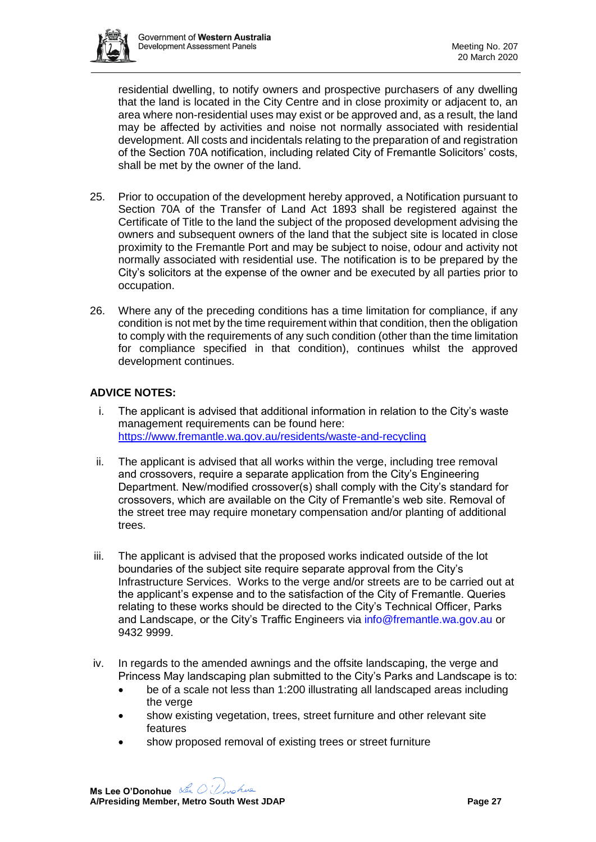

residential dwelling, to notify owners and prospective purchasers of any dwelling that the land is located in the City Centre and in close proximity or adjacent to, an area where non-residential uses may exist or be approved and, as a result, the land may be affected by activities and noise not normally associated with residential development. All costs and incidentals relating to the preparation of and registration of the Section 70A notification, including related City of Fremantle Solicitors' costs, shall be met by the owner of the land.

- 25. Prior to occupation of the development hereby approved, a Notification pursuant to Section 70A of the Transfer of Land Act 1893 shall be registered against the Certificate of Title to the land the subject of the proposed development advising the owners and subsequent owners of the land that the subject site is located in close proximity to the Fremantle Port and may be subject to noise, odour and activity not normally associated with residential use. The notification is to be prepared by the City's solicitors at the expense of the owner and be executed by all parties prior to occupation.
- 26. Where any of the preceding conditions has a time limitation for compliance, if any condition is not met by the time requirement within that condition, then the obligation to comply with the requirements of any such condition (other than the time limitation for compliance specified in that condition), continues whilst the approved development continues.

# **ADVICE NOTES:**

- i. The applicant is advised that additional information in relation to the City's waste management requirements can be found here: <https://www.fremantle.wa.gov.au/residents/waste-and-recycling>
- ii. The applicant is advised that all works within the verge, including tree removal and crossovers, require a separate application from the City's Engineering Department. New/modified crossover(s) shall comply with the City's standard for crossovers, which are available on the City of Fremantle's web site. Removal of the street tree may require monetary compensation and/or planting of additional trees.
- iii. The applicant is advised that the proposed works indicated outside of the lot boundaries of the subject site require separate approval from the City's Infrastructure Services. Works to the verge and/or streets are to be carried out at the applicant's expense and to the satisfaction of the City of Fremantle. Queries relating to these works should be directed to the City's Technical Officer, Parks and Landscape, or the City's Traffic Engineers via [info@fremantle.wa.gov.au](mailto:info@fremantle.wa.gov.au) or 9432 9999.
- iv. In regards to the amended awnings and the offsite landscaping, the verge and Princess May landscaping plan submitted to the City's Parks and Landscape is to:
	- be of a scale not less than 1:200 illustrating all landscaped areas including the verge
	- show existing vegetation, trees, street furniture and other relevant site features
	- show proposed removal of existing trees or street furniture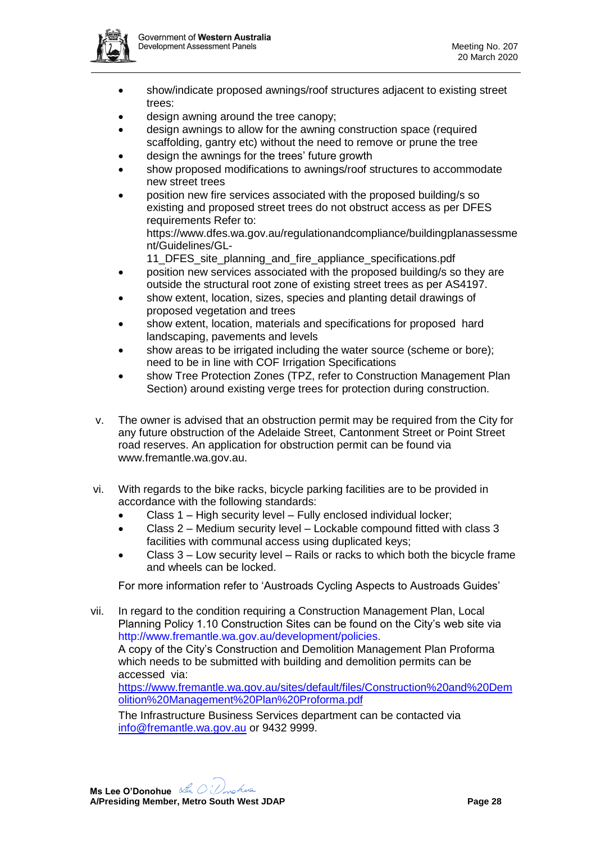

- show/indicate proposed awnings/roof structures adjacent to existing street trees:
- design awning around the tree canopy;
- design awnings to allow for the awning construction space (required scaffolding, gantry etc) without the need to remove or prune the tree
- design the awnings for the trees' future growth
- show proposed modifications to awnings/roof structures to accommodate new street trees
- position new fire services associated with the proposed building/s so existing and proposed street trees do not obstruct access as per DFES requirements Refer to:

https://www.dfes.wa.gov.au/regulationandcompliance/buildingplanassessme nt/Guidelines/GL-

- 11\_DFES\_site\_planning\_and\_fire\_appliance\_specifications.pdf
- position new services associated with the proposed building/s so they are outside the structural root zone of existing street trees as per AS4197.
- show extent, location, sizes, species and planting detail drawings of proposed vegetation and trees
- show extent, location, materials and specifications for proposed hard landscaping, pavements and levels
- show areas to be irrigated including the water source (scheme or bore); need to be in line with COF Irrigation Specifications
- show Tree Protection Zones (TPZ, refer to Construction Management Plan Section) around existing verge trees for protection during construction.
- v. The owner is advised that an obstruction permit may be required from the City for any future obstruction of the Adelaide Street, Cantonment Street or Point Street road reserves. An application for obstruction permit can be found via www.fremantle.wa.gov.au.
- vi. With regards to the bike racks, bicycle parking facilities are to be provided in accordance with the following standards:
	- Class 1 High security level Fully enclosed individual locker;
	- Class 2 Medium security level Lockable compound fitted with class 3 facilities with communal access using duplicated keys;
	- Class 3 Low security level Rails or racks to which both the bicycle frame and wheels can be locked.

For more information refer to 'Austroads Cycling Aspects to Austroads Guides'

vii. In regard to the condition requiring a Construction Management Plan, Local Planning Policy 1.10 Construction Sites can be found on the City's web site via http://www.fremantle.wa.gov.au/development/policies. A copy of the City's Construction and Demolition Management Plan Proforma which needs to be submitted with building and demolition permits can be accessed via: [https://www.fremantle.wa.gov.au/sites/default/files/Construction%20and%20Dem](https://www.fremantle.wa.gov.au/sites/default/files/Construction%20and%20Demolition%20Management%20Plan%20Proforma.pdf) [olition%20Management%20Plan%20Proforma.pdf](https://www.fremantle.wa.gov.au/sites/default/files/Construction%20and%20Demolition%20Management%20Plan%20Proforma.pdf)

The Infrastructure Business Services department can be contacted via [info@fremantle.wa.gov.au](mailto:ibs@fremantle.wa.gov.au) or 9432 9999.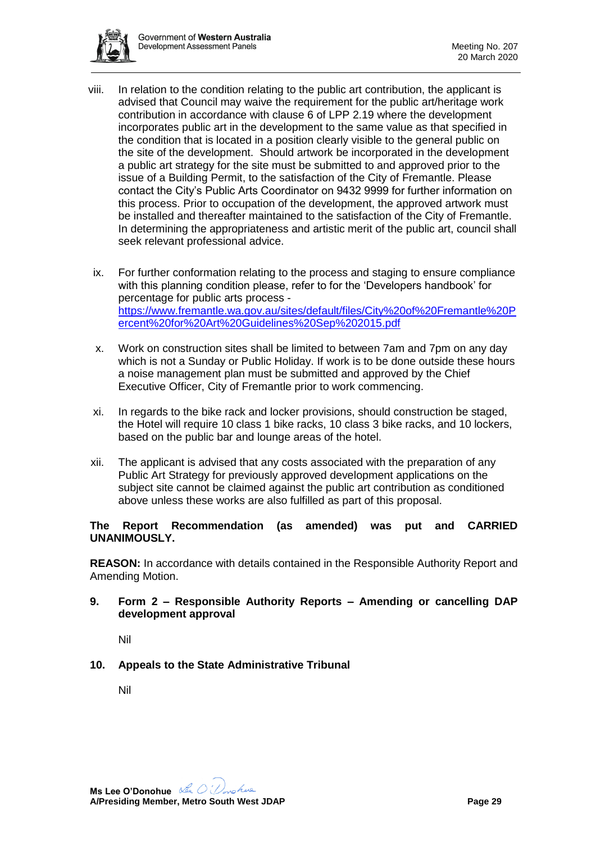

- viii. In relation to the condition relating to the public art contribution, the applicant is advised that Council may waive the requirement for the public art/heritage work contribution in accordance with clause 6 of LPP 2.19 where the development incorporates public art in the development to the same value as that specified in the condition that is located in a position clearly visible to the general public on the site of the development. Should artwork be incorporated in the development a public art strategy for the site must be submitted to and approved prior to the issue of a Building Permit, to the satisfaction of the City of Fremantle. Please contact the City's Public Arts Coordinator on 9432 9999 for further information on this process. Prior to occupation of the development, the approved artwork must be installed and thereafter maintained to the satisfaction of the City of Fremantle. In determining the appropriateness and artistic merit of the public art, council shall seek relevant professional advice.
	- ix. For further conformation relating to the process and staging to ensure compliance with this planning condition please, refer to for the 'Developers handbook' for percentage for public arts process [https://www.fremantle.wa.gov.au/sites/default/files/City%20of%20Fremantle%20P](https://www.fremantle.wa.gov.au/sites/default/files/City%20of%20Fremantle%20Percent%20for%20Art%20Guidelines%20Sep%202015.pdf) [ercent%20for%20Art%20Guidelines%20Sep%202015.pdf](https://www.fremantle.wa.gov.au/sites/default/files/City%20of%20Fremantle%20Percent%20for%20Art%20Guidelines%20Sep%202015.pdf)
	- x. Work on construction sites shall be limited to between 7am and 7pm on any day which is not a Sunday or Public Holiday. If work is to be done outside these hours a noise management plan must be submitted and approved by the Chief Executive Officer, City of Fremantle prior to work commencing.
- xi. In regards to the bike rack and locker provisions, should construction be staged, the Hotel will require 10 class 1 bike racks, 10 class 3 bike racks, and 10 lockers, based on the public bar and lounge areas of the hotel.
- xii. The applicant is advised that any costs associated with the preparation of any Public Art Strategy for previously approved development applications on the subject site cannot be claimed against the public art contribution as conditioned above unless these works are also fulfilled as part of this proposal.

### **The Report Recommendation (as amended) was put and CARRIED UNANIMOUSLY.**

**REASON:** In accordance with details contained in the Responsible Authority Report and Amending Motion.

**9. Form 2 – Responsible Authority Reports – Amending or cancelling DAP development approval**

Nil

**10. Appeals to the State Administrative Tribunal**

Nil

**Ms Lee O'Donohue**  nohue **A/Presiding Member, Metro South West JDAP Page 29**